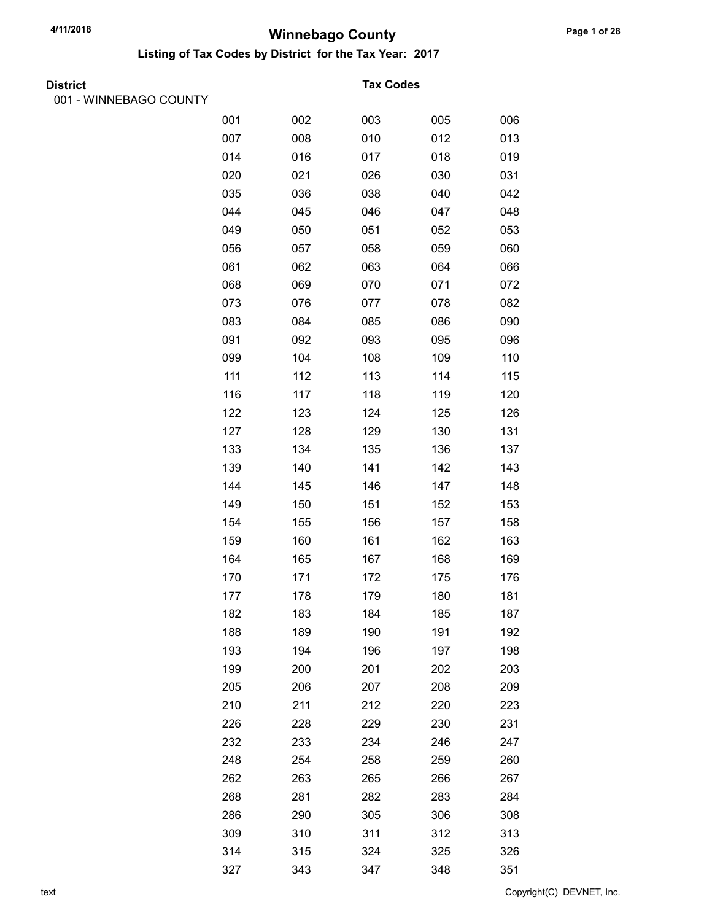Listing of Tax Codes by District for the Tax Year: 2017

| <b>District</b> |  |
|-----------------|--|

001 - WINNEBAGO COUNTY

#### **Tax Codes**

| 11127700 |     |     |     |     |     |
|----------|-----|-----|-----|-----|-----|
|          | 001 | 002 | 003 | 005 | 006 |
|          | 007 | 008 | 010 | 012 | 013 |
|          | 014 | 016 | 017 | 018 | 019 |
|          | 020 | 021 | 026 | 030 | 031 |
|          | 035 | 036 | 038 | 040 | 042 |
|          | 044 | 045 | 046 | 047 | 048 |
|          | 049 | 050 | 051 | 052 | 053 |
|          | 056 | 057 | 058 | 059 | 060 |
|          | 061 | 062 | 063 | 064 | 066 |
|          | 068 | 069 | 070 | 071 | 072 |
|          | 073 | 076 | 077 | 078 | 082 |
|          | 083 | 084 | 085 | 086 | 090 |
|          | 091 | 092 | 093 | 095 | 096 |
|          | 099 | 104 | 108 | 109 | 110 |
|          | 111 | 112 | 113 | 114 | 115 |
|          | 116 | 117 | 118 | 119 | 120 |
|          | 122 | 123 | 124 | 125 | 126 |
|          | 127 | 128 | 129 | 130 | 131 |
|          | 133 | 134 | 135 | 136 | 137 |
|          | 139 | 140 | 141 | 142 | 143 |
|          | 144 | 145 | 146 | 147 | 148 |
|          | 149 | 150 | 151 | 152 | 153 |
|          | 154 | 155 | 156 | 157 | 158 |
|          | 159 | 160 | 161 | 162 | 163 |
|          | 164 | 165 | 167 | 168 | 169 |
|          | 170 | 171 | 172 | 175 | 176 |
|          | 177 | 178 | 179 | 180 | 181 |
|          | 182 | 183 | 184 | 185 | 187 |
|          | 188 | 189 | 190 | 191 | 192 |
|          | 193 | 194 | 196 | 197 | 198 |
|          | 199 | 200 | 201 | 202 | 203 |
|          | 205 | 206 | 207 | 208 | 209 |
|          | 210 | 211 | 212 | 220 | 223 |
|          | 226 | 228 | 229 | 230 | 231 |
|          | 232 | 233 | 234 | 246 | 247 |
|          | 248 | 254 | 258 | 259 | 260 |
|          | 262 | 263 | 265 | 266 | 267 |
|          | 268 | 281 | 282 | 283 | 284 |
|          | 286 | 290 | 305 | 306 | 308 |
|          | 309 | 310 | 311 | 312 | 313 |
|          | 314 | 315 | 324 | 325 | 326 |
|          | 327 | 343 | 347 | 348 | 351 |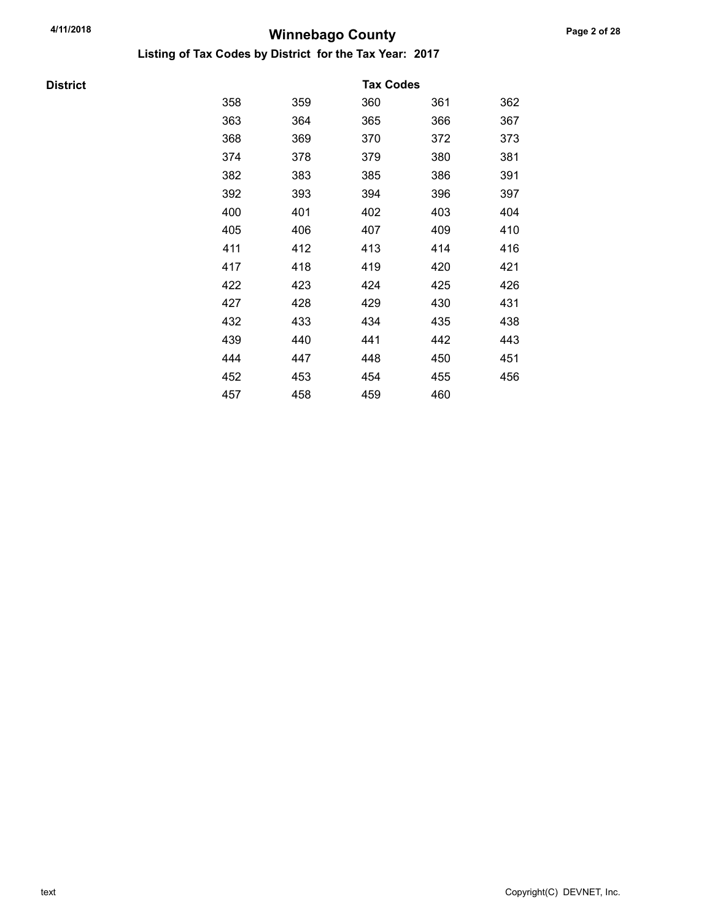Listing of Tax Codes by District for the Tax Year: 2017

**District** 

|     |     | <b>Tax Codes</b> |     |     |
|-----|-----|------------------|-----|-----|
| 358 | 359 | 360              | 361 | 362 |
| 363 | 364 | 365              | 366 | 367 |
| 368 | 369 | 370              | 372 | 373 |
| 374 | 378 | 379              | 380 | 381 |
| 382 | 383 | 385              | 386 | 391 |
| 392 | 393 | 394              | 396 | 397 |
| 400 | 401 | 402              | 403 | 404 |
| 405 | 406 | 407              | 409 | 410 |
| 411 | 412 | 413              | 414 | 416 |
| 417 | 418 | 419              | 420 | 421 |
| 422 | 423 | 424              | 425 | 426 |
| 427 | 428 | 429              | 430 | 431 |
| 432 | 433 | 434              | 435 | 438 |
| 439 | 440 | 441              | 442 | 443 |
| 444 | 447 | 448              | 450 | 451 |
| 452 | 453 | 454              | 455 | 456 |
| 457 | 458 | 459              | 460 |     |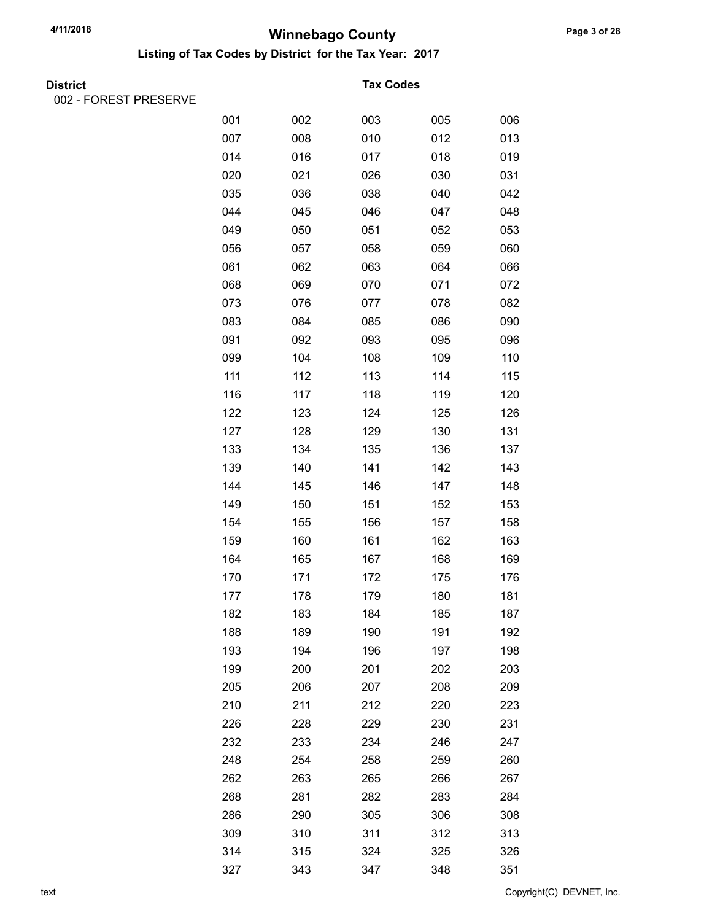Listing of Tax Codes by District for the Tax Year: 2017

002 - FOREST PRESERVE

#### **Tax Codes**

| \LVIII\LJLI\VL |     |     |     |     |     |
|----------------|-----|-----|-----|-----|-----|
|                | 001 | 002 | 003 | 005 | 006 |
|                | 007 | 008 | 010 | 012 | 013 |
|                | 014 | 016 | 017 | 018 | 019 |
|                | 020 | 021 | 026 | 030 | 031 |
|                | 035 | 036 | 038 | 040 | 042 |
|                | 044 | 045 | 046 | 047 | 048 |
|                | 049 | 050 | 051 | 052 | 053 |
|                | 056 | 057 | 058 | 059 | 060 |
|                | 061 | 062 | 063 | 064 | 066 |
|                | 068 | 069 | 070 | 071 | 072 |
|                | 073 | 076 | 077 | 078 | 082 |
|                | 083 | 084 | 085 | 086 | 090 |
|                | 091 | 092 | 093 | 095 | 096 |
|                | 099 | 104 | 108 | 109 | 110 |
|                | 111 | 112 | 113 | 114 | 115 |
|                | 116 | 117 | 118 | 119 | 120 |
|                | 122 | 123 | 124 | 125 | 126 |
|                | 127 | 128 | 129 | 130 | 131 |
|                | 133 | 134 | 135 | 136 | 137 |
|                | 139 | 140 | 141 | 142 | 143 |
|                | 144 | 145 | 146 | 147 | 148 |
|                | 149 | 150 | 151 | 152 | 153 |
|                | 154 | 155 | 156 | 157 | 158 |
|                | 159 | 160 | 161 | 162 | 163 |
|                | 164 | 165 | 167 | 168 | 169 |
|                | 170 | 171 | 172 | 175 | 176 |
|                | 177 | 178 | 179 | 180 | 181 |
|                | 182 | 183 | 184 | 185 | 187 |
|                | 188 | 189 | 190 | 191 | 192 |
|                | 193 | 194 | 196 | 197 | 198 |
|                | 199 | 200 | 201 | 202 | 203 |
|                | 205 | 206 | 207 | 208 | 209 |
|                | 210 | 211 | 212 | 220 | 223 |
|                | 226 | 228 | 229 | 230 | 231 |
|                | 232 | 233 | 234 | 246 | 247 |
|                | 248 | 254 | 258 | 259 | 260 |
|                | 262 | 263 | 265 | 266 | 267 |
|                | 268 | 281 | 282 | 283 | 284 |
|                | 286 | 290 | 305 | 306 | 308 |
|                | 309 | 310 | 311 | 312 | 313 |
|                | 314 | 315 | 324 | 325 | 326 |
|                | 327 | 343 | 347 | 348 | 351 |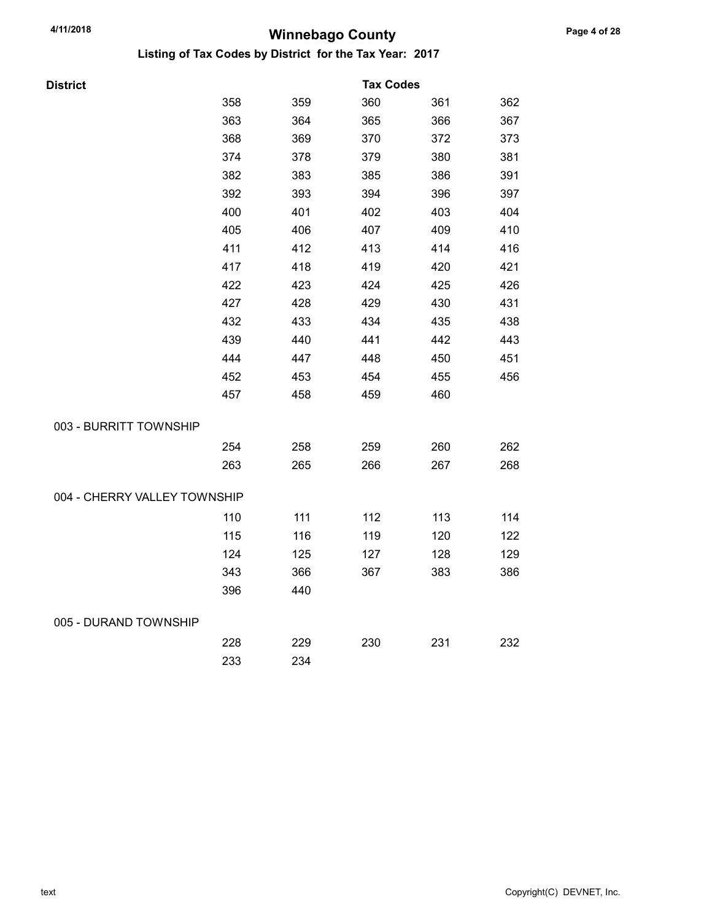| <b>District</b>              |     |     | <b>Tax Codes</b> |     |     |
|------------------------------|-----|-----|------------------|-----|-----|
|                              | 358 | 359 | 360              | 361 | 362 |
|                              | 363 | 364 | 365              | 366 | 367 |
|                              | 368 | 369 | 370              | 372 | 373 |
|                              | 374 | 378 | 379              | 380 | 381 |
|                              | 382 | 383 | 385              | 386 | 391 |
|                              | 392 | 393 | 394              | 396 | 397 |
|                              | 400 | 401 | 402              | 403 | 404 |
|                              | 405 | 406 | 407              | 409 | 410 |
|                              | 411 | 412 | 413              | 414 | 416 |
|                              | 417 | 418 | 419              | 420 | 421 |
|                              | 422 | 423 | 424              | 425 | 426 |
|                              | 427 | 428 | 429              | 430 | 431 |
|                              | 432 | 433 | 434              | 435 | 438 |
|                              | 439 | 440 | 441              | 442 | 443 |
|                              | 444 | 447 | 448              | 450 | 451 |
|                              | 452 | 453 | 454              | 455 | 456 |
|                              | 457 | 458 | 459              | 460 |     |
| 003 - BURRITT TOWNSHIP       |     |     |                  |     |     |
|                              | 254 | 258 | 259              | 260 | 262 |
|                              | 263 | 265 | 266              | 267 | 268 |
| 004 - CHERRY VALLEY TOWNSHIP |     |     |                  |     |     |
|                              | 110 | 111 | 112              | 113 | 114 |
|                              | 115 | 116 | 119              | 120 | 122 |
|                              | 124 | 125 | 127              | 128 | 129 |
|                              | 343 | 366 | 367              | 383 | 386 |
|                              | 396 | 440 |                  |     |     |
| 005 - DURAND TOWNSHIP        |     |     |                  |     |     |
|                              | 228 | 229 | 230              | 231 | 232 |
|                              | 233 | 234 |                  |     |     |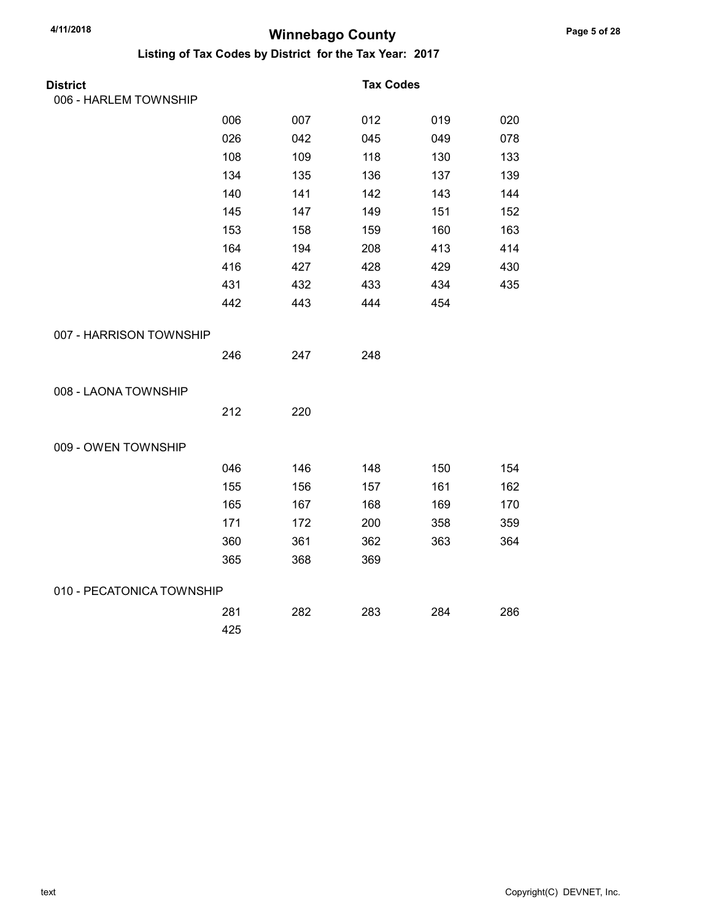| <b>District</b>           |     |     | <b>Tax Codes</b> |     |     |
|---------------------------|-----|-----|------------------|-----|-----|
| 006 - HARLEM TOWNSHIP     |     |     |                  |     |     |
|                           | 006 | 007 | 012              | 019 | 020 |
|                           | 026 | 042 | 045              | 049 | 078 |
|                           | 108 | 109 | 118              | 130 | 133 |
|                           | 134 | 135 | 136              | 137 | 139 |
|                           | 140 | 141 | 142              | 143 | 144 |
|                           | 145 | 147 | 149              | 151 | 152 |
|                           | 153 | 158 | 159              | 160 | 163 |
|                           | 164 | 194 | 208              | 413 | 414 |
|                           | 416 | 427 | 428              | 429 | 430 |
|                           | 431 | 432 | 433              | 434 | 435 |
|                           | 442 | 443 | 444              | 454 |     |
| 007 - HARRISON TOWNSHIP   |     |     |                  |     |     |
|                           | 246 | 247 | 248              |     |     |
| 008 - LAONA TOWNSHIP      |     |     |                  |     |     |
|                           | 212 | 220 |                  |     |     |
| 009 - OWEN TOWNSHIP       |     |     |                  |     |     |
|                           | 046 | 146 | 148              | 150 | 154 |
|                           | 155 | 156 | 157              | 161 | 162 |
|                           | 165 | 167 | 168              | 169 | 170 |
|                           | 171 | 172 | 200              | 358 | 359 |
|                           | 360 | 361 | 362              | 363 | 364 |
|                           | 365 | 368 | 369              |     |     |
| 010 - PECATONICA TOWNSHIP |     |     |                  |     |     |
|                           | 281 | 282 | 283              | 284 | 286 |
|                           | 425 |     |                  |     |     |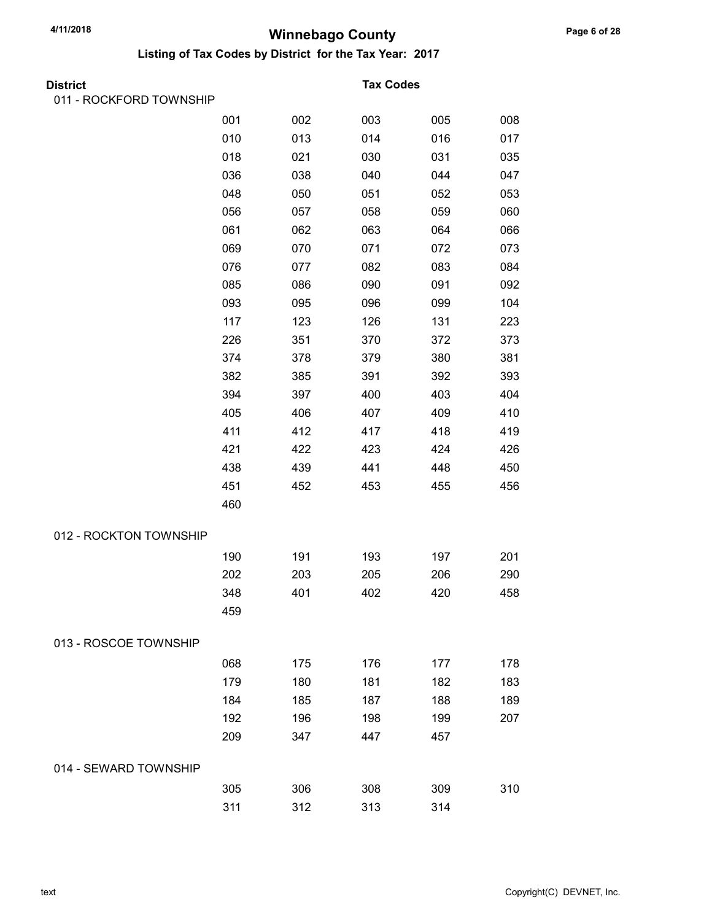| District                |     |     | <b>Tax Codes</b> |     |     |
|-------------------------|-----|-----|------------------|-----|-----|
| 011 - ROCKFORD TOWNSHIP |     |     |                  |     |     |
|                         | 001 | 002 | 003              | 005 | 008 |
|                         | 010 | 013 | 014              | 016 | 017 |
|                         | 018 | 021 | 030              | 031 | 035 |
|                         | 036 | 038 | 040              | 044 | 047 |
|                         | 048 | 050 | 051              | 052 | 053 |
|                         | 056 | 057 | 058              | 059 | 060 |
|                         | 061 | 062 | 063              | 064 | 066 |
|                         | 069 | 070 | 071              | 072 | 073 |
|                         | 076 | 077 | 082              | 083 | 084 |
|                         | 085 | 086 | 090              | 091 | 092 |
|                         | 093 | 095 | 096              | 099 | 104 |
|                         | 117 | 123 | 126              | 131 | 223 |
|                         | 226 | 351 | 370              | 372 | 373 |
|                         | 374 | 378 | 379              | 380 | 381 |
|                         | 382 | 385 | 391              | 392 | 393 |
|                         | 394 | 397 | 400              | 403 | 404 |
|                         | 405 | 406 | 407              | 409 | 410 |
|                         | 411 | 412 | 417              | 418 | 419 |
|                         | 421 | 422 | 423              | 424 | 426 |
|                         | 438 | 439 | 441              | 448 | 450 |
|                         | 451 | 452 | 453              | 455 | 456 |
|                         | 460 |     |                  |     |     |
| 012 - ROCKTON TOWNSHIP  |     |     |                  |     |     |
|                         | 190 | 191 | 193              | 197 | 201 |
|                         | 202 | 203 | 205              | 206 | 290 |
|                         | 348 | 401 | 402              | 420 | 458 |
|                         | 459 |     |                  |     |     |
| 013 - ROSCOE TOWNSHIP   |     |     |                  |     |     |
|                         | 068 | 175 | 176              | 177 | 178 |
|                         | 179 | 180 | 181              | 182 | 183 |
|                         | 184 | 185 | 187              | 188 | 189 |
|                         | 192 | 196 | 198              | 199 | 207 |
|                         | 209 | 347 | 447              | 457 |     |
| 014 - SEWARD TOWNSHIP   |     |     |                  |     |     |
|                         | 305 | 306 | 308              | 309 | 310 |
|                         | 311 | 312 | 313              | 314 |     |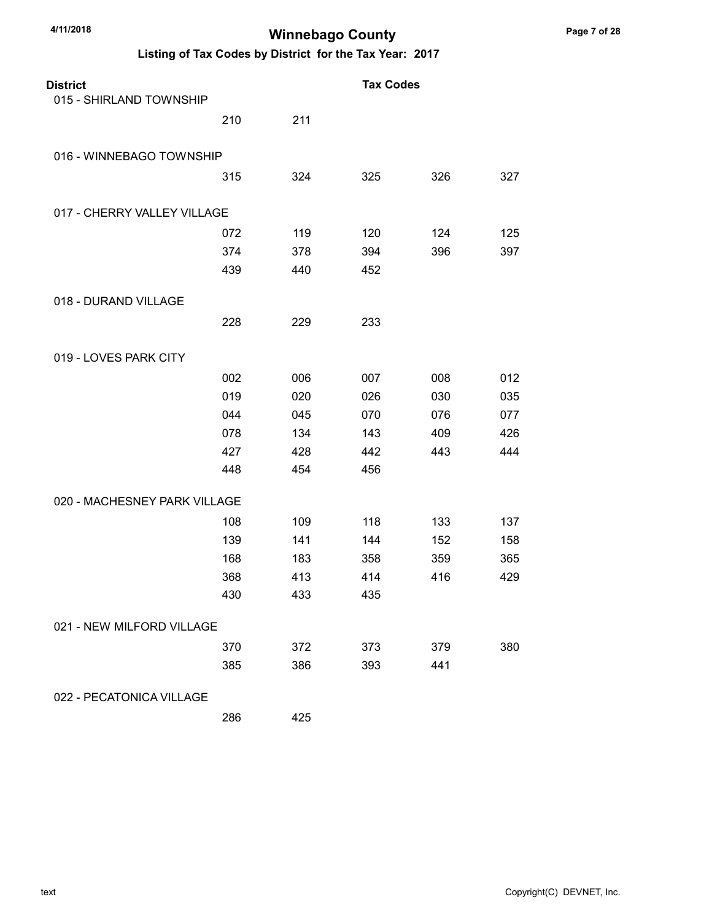| <b>District</b>              |     |     | <b>Tax Codes</b> |     |     |
|------------------------------|-----|-----|------------------|-----|-----|
| 015 - SHIRLAND TOWNSHIP      |     |     |                  |     |     |
|                              | 210 | 211 |                  |     |     |
| 016 - WINNEBAGO TOWNSHIP     |     |     |                  |     |     |
|                              | 315 | 324 | 325              | 326 | 327 |
| 017 - CHERRY VALLEY VILLAGE  |     |     |                  |     |     |
|                              | 072 | 119 | 120              | 124 | 125 |
|                              | 374 | 378 | 394              | 396 | 397 |
|                              | 439 | 440 | 452              |     |     |
| 018 - DURAND VILLAGE         |     |     |                  |     |     |
|                              | 228 | 229 | 233              |     |     |
| 019 - LOVES PARK CITY        |     |     |                  |     |     |
|                              | 002 | 006 | 007              | 008 | 012 |
|                              | 019 | 020 | 026              | 030 | 035 |
|                              | 044 | 045 | 070              | 076 | 077 |
|                              | 078 | 134 | 143              | 409 | 426 |
|                              | 427 | 428 | 442              | 443 | 444 |
|                              | 448 | 454 | 456              |     |     |
| 020 - MACHESNEY PARK VILLAGE |     |     |                  |     |     |
|                              | 108 | 109 | 118              | 133 | 137 |
|                              | 139 | 141 | 144              | 152 | 158 |
|                              | 168 | 183 | 358              | 359 | 365 |
|                              | 368 | 413 | 414              | 416 | 429 |
|                              | 430 | 433 | 435              |     |     |
| 021 - NEW MILFORD VILLAGE    |     |     |                  |     |     |
|                              | 370 | 372 | 373              | 379 | 380 |
|                              | 385 | 386 | 393              | 441 |     |
| 022 - PECATONICA VILLAGE     |     |     |                  |     |     |
|                              | 286 | 425 |                  |     |     |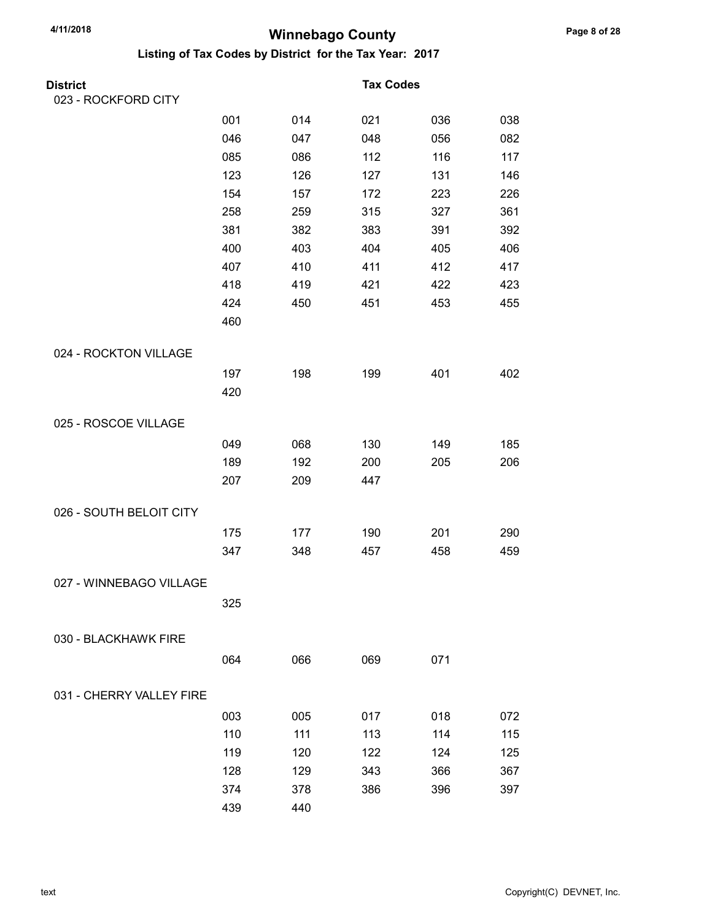| <b>District</b>          |     |     | <b>Tax Codes</b> |     |     |
|--------------------------|-----|-----|------------------|-----|-----|
| 023 - ROCKFORD CITY      |     |     |                  |     |     |
|                          | 001 | 014 | 021              | 036 | 038 |
|                          | 046 | 047 | 048              | 056 | 082 |
|                          | 085 | 086 | 112              | 116 | 117 |
|                          | 123 | 126 | 127              | 131 | 146 |
|                          | 154 | 157 | 172              | 223 | 226 |
|                          | 258 | 259 | 315              | 327 | 361 |
|                          | 381 | 382 | 383              | 391 | 392 |
|                          | 400 | 403 | 404              | 405 | 406 |
|                          | 407 | 410 | 411              | 412 | 417 |
|                          | 418 | 419 | 421              | 422 | 423 |
|                          | 424 | 450 | 451              | 453 | 455 |
|                          | 460 |     |                  |     |     |
| 024 - ROCKTON VILLAGE    |     |     |                  |     |     |
|                          | 197 | 198 | 199              | 401 | 402 |
|                          | 420 |     |                  |     |     |
| 025 - ROSCOE VILLAGE     |     |     |                  |     |     |
|                          | 049 | 068 | 130              | 149 | 185 |
|                          | 189 | 192 | 200              | 205 | 206 |
|                          | 207 | 209 | 447              |     |     |
|                          |     |     |                  |     |     |
| 026 - SOUTH BELOIT CITY  |     |     |                  |     |     |
|                          | 175 | 177 | 190              | 201 | 290 |
|                          | 347 | 348 | 457              | 458 | 459 |
| 027 - WINNEBAGO VILLAGE  |     |     |                  |     |     |
|                          | 325 |     |                  |     |     |
|                          |     |     |                  |     |     |
| 030 - BLACKHAWK FIRE     |     |     |                  |     |     |
|                          | 064 | 066 | 069              | 071 |     |
| 031 - CHERRY VALLEY FIRE |     |     |                  |     |     |
|                          | 003 | 005 | 017              | 018 | 072 |
|                          | 110 | 111 | 113              | 114 | 115 |
|                          | 119 | 120 | 122              | 124 | 125 |
|                          | 128 | 129 | 343              | 366 | 367 |
|                          | 374 | 378 | 386              | 396 | 397 |
|                          | 439 | 440 |                  |     |     |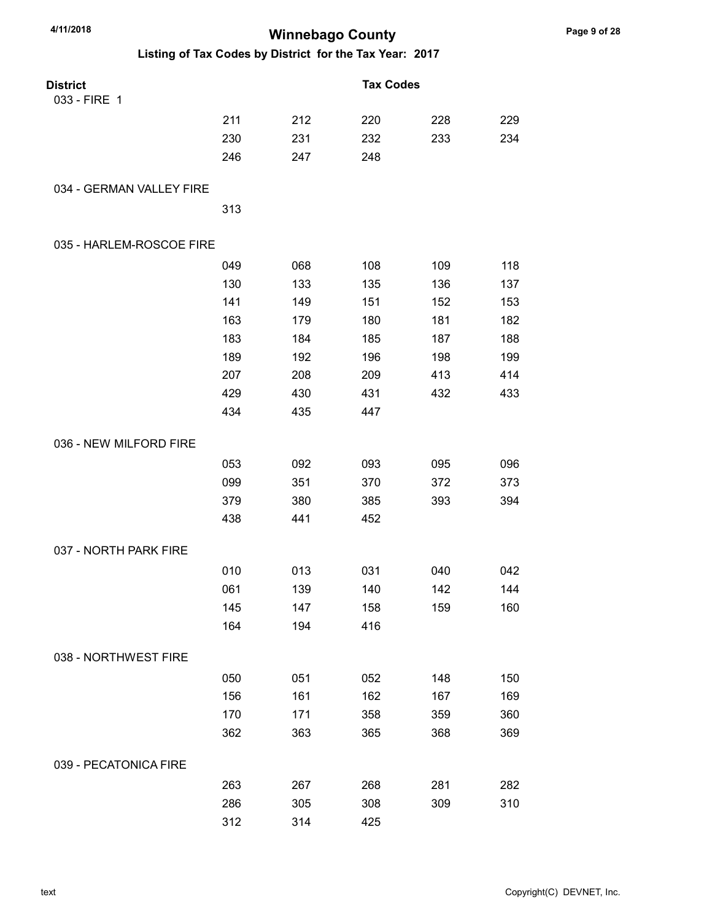| 4/11/2018                |     | <b>Winnebago County</b> |                                                         |     |     |
|--------------------------|-----|-------------------------|---------------------------------------------------------|-----|-----|
|                          |     |                         | Listing of Tax Codes by District for the Tax Year: 2017 |     |     |
| <b>District</b>          |     |                         | <b>Tax Codes</b>                                        |     |     |
| 033 - FIRE 1             |     |                         |                                                         |     |     |
|                          | 211 | 212                     | 220                                                     | 228 | 229 |
|                          | 230 | 231                     | 232                                                     | 233 | 234 |
|                          | 246 | 247                     | 248                                                     |     |     |
| 034 - GERMAN VALLEY FIRE |     |                         |                                                         |     |     |
|                          | 313 |                         |                                                         |     |     |
| 035 - HARLEM-ROSCOE FIRE |     |                         |                                                         |     |     |
|                          | 049 | 068                     | 108                                                     | 109 | 118 |
|                          | 130 | 133                     | 135                                                     | 136 | 137 |
|                          | 141 | 149                     | 151                                                     | 152 | 153 |
|                          | 163 | 179                     | 180                                                     | 181 | 182 |
|                          | 183 | 184                     | 185                                                     | 187 | 188 |
|                          | 189 | 192                     | 196                                                     | 198 | 199 |
|                          | 207 | 208                     | 209                                                     | 413 | 414 |
|                          | 429 | 430                     | 431                                                     | 432 | 433 |
|                          | 434 | 435                     | 447                                                     |     |     |
| 036 - NEW MILFORD FIRE   |     |                         |                                                         |     |     |
|                          | 053 | 092                     | 093                                                     | 095 | 096 |
|                          | 099 | 351                     | 370                                                     | 372 | 373 |
|                          | 379 | 380                     | 385                                                     | 393 | 394 |
|                          | 438 | 441                     | 452                                                     |     |     |
| 037 - NORTH PARK FIRE    |     |                         |                                                         |     |     |
|                          | 010 | 013                     | 031                                                     | 040 | 042 |
|                          | 061 | 139                     | 140                                                     | 142 | 144 |
|                          | 145 | 147                     | 158                                                     | 159 | 160 |
|                          | 164 | 194                     | 416                                                     |     |     |
| 038 - NORTHWEST FIRE     |     |                         |                                                         |     |     |
|                          | 050 | 051                     | 052                                                     | 148 | 150 |
|                          | 156 | 161                     | 162                                                     | 167 | 169 |
|                          | 170 | 171                     | 358                                                     | 359 | 360 |
|                          | 362 | 363                     | 365                                                     | 368 | 369 |
| 039 - PECATONICA FIRE    |     |                         |                                                         |     |     |
|                          | 263 | 267                     | 268                                                     | 281 | 282 |
|                          | 286 | 305                     | 308                                                     | 309 | 310 |
|                          | 312 | 314                     | 425                                                     |     |     |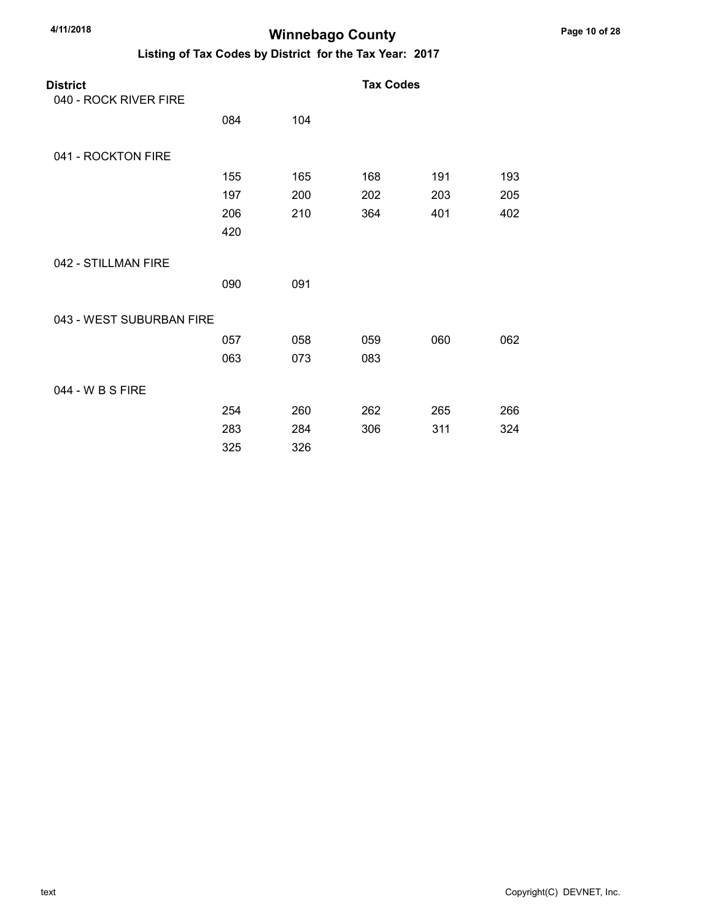| 4/11/2018 |
|-----------|
|           |

### **Winnebago County**

| <b>District</b>          |     |     | <b>Tax Codes</b> |     |     |
|--------------------------|-----|-----|------------------|-----|-----|
| 040 - ROCK RIVER FIRE    |     |     |                  |     |     |
|                          | 084 | 104 |                  |     |     |
| 041 - ROCKTON FIRE       |     |     |                  |     |     |
|                          | 155 | 165 | 168              | 191 | 193 |
|                          | 197 | 200 | 202              | 203 | 205 |
|                          | 206 | 210 | 364              | 401 | 402 |
|                          | 420 |     |                  |     |     |
| 042 - STILLMAN FIRE      |     |     |                  |     |     |
|                          | 090 | 091 |                  |     |     |
| 043 - WEST SUBURBAN FIRE |     |     |                  |     |     |
|                          | 057 | 058 | 059              | 060 | 062 |
|                          | 063 | 073 | 083              |     |     |
| 044 - W B S FIRE         |     |     |                  |     |     |
|                          | 254 | 260 | 262              | 265 | 266 |
|                          | 283 | 284 | 306              | 311 | 324 |
|                          | 325 | 326 |                  |     |     |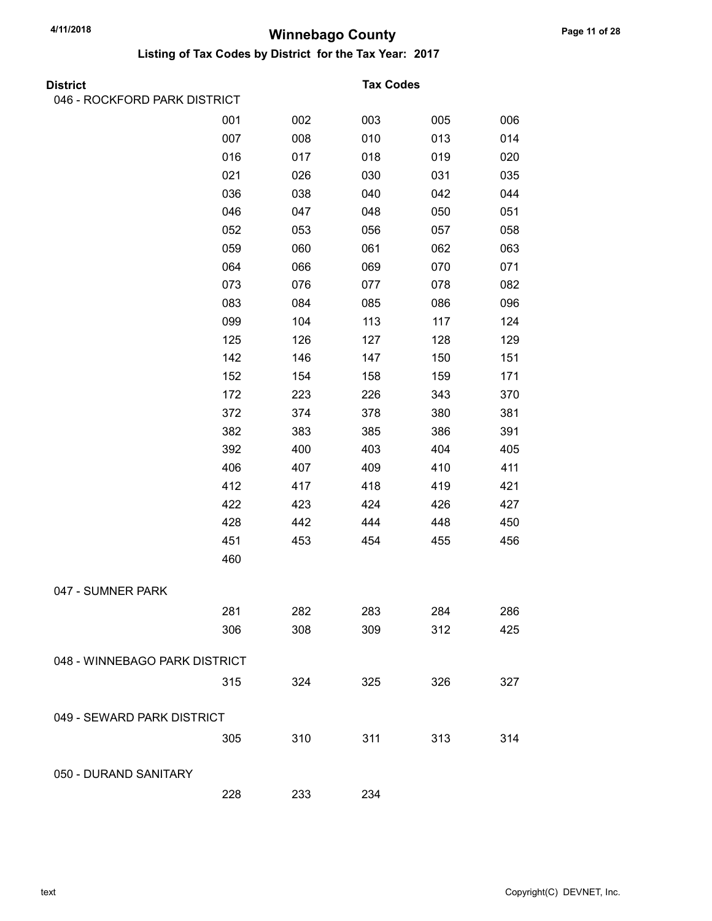| District                      |     |     | <b>Tax Codes</b> |     |     |
|-------------------------------|-----|-----|------------------|-----|-----|
| 046 - ROCKFORD PARK DISTRICT  |     |     |                  |     |     |
|                               | 001 | 002 | 003              | 005 | 006 |
|                               | 007 | 008 | 010              | 013 | 014 |
|                               | 016 | 017 | 018              | 019 | 020 |
|                               | 021 | 026 | 030              | 031 | 035 |
|                               | 036 | 038 | 040              | 042 | 044 |
|                               | 046 | 047 | 048              | 050 | 051 |
|                               | 052 | 053 | 056              | 057 | 058 |
|                               | 059 | 060 | 061              | 062 | 063 |
|                               | 064 | 066 | 069              | 070 | 071 |
|                               | 073 | 076 | 077              | 078 | 082 |
|                               | 083 | 084 | 085              | 086 | 096 |
|                               | 099 | 104 | 113              | 117 | 124 |
|                               | 125 | 126 | 127              | 128 | 129 |
|                               | 142 | 146 | 147              | 150 | 151 |
|                               | 152 | 154 | 158              | 159 | 171 |
|                               | 172 | 223 | 226              | 343 | 370 |
|                               | 372 | 374 | 378              | 380 | 381 |
|                               | 382 | 383 | 385              | 386 | 391 |
|                               | 392 | 400 | 403              | 404 | 405 |
|                               | 406 | 407 | 409              | 410 | 411 |
|                               | 412 | 417 | 418              | 419 | 421 |
|                               | 422 | 423 | 424              | 426 | 427 |
|                               | 428 | 442 | 444              | 448 | 450 |
|                               | 451 | 453 | 454              | 455 | 456 |
|                               | 460 |     |                  |     |     |
| 047 - SUMNER PARK             |     |     |                  |     |     |
|                               | 281 | 282 | 283              | 284 | 286 |
|                               | 306 | 308 | 309              | 312 | 425 |
| 048 - WINNEBAGO PARK DISTRICT |     |     |                  |     |     |
|                               | 315 | 324 | 325              | 326 | 327 |
| 049 - SEWARD PARK DISTRICT    |     |     |                  |     |     |
|                               | 305 | 310 | 311              | 313 | 314 |
| 050 - DURAND SANITARY         |     |     |                  |     |     |
|                               | 228 | 233 | 234              |     |     |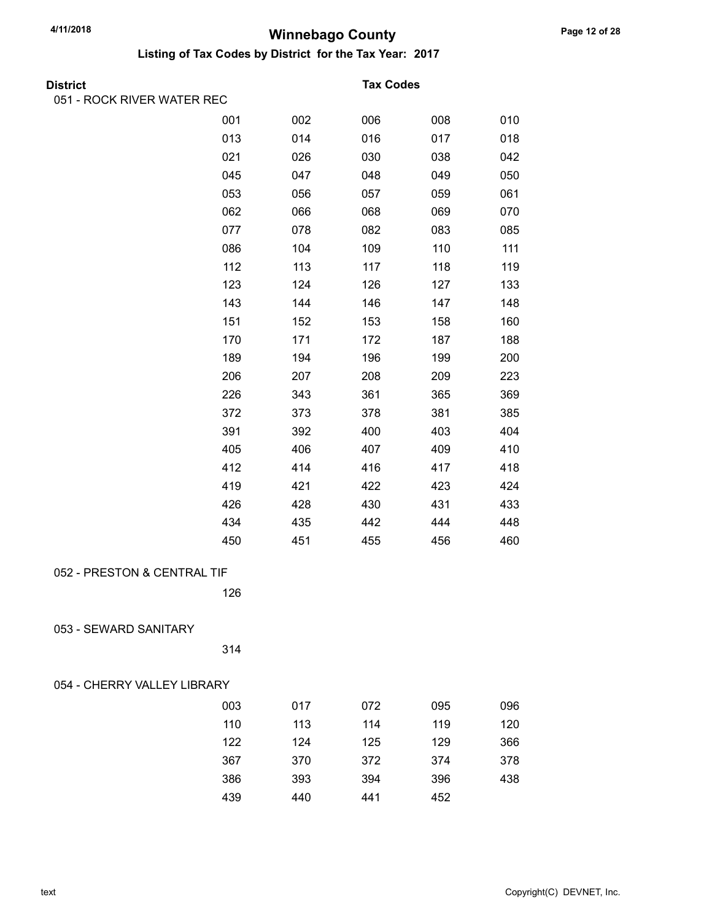| District                    |     |     | <b>Tax Codes</b> |     |     |
|-----------------------------|-----|-----|------------------|-----|-----|
| 051 - ROCK RIVER WATER REC  |     |     |                  |     |     |
|                             | 001 | 002 | 006              | 008 | 010 |
|                             | 013 | 014 | 016              | 017 | 018 |
|                             | 021 | 026 | 030              | 038 | 042 |
|                             | 045 | 047 | 048              | 049 | 050 |
|                             | 053 | 056 | 057              | 059 | 061 |
|                             | 062 | 066 | 068              | 069 | 070 |
|                             | 077 | 078 | 082              | 083 | 085 |
|                             | 086 | 104 | 109              | 110 | 111 |
|                             | 112 | 113 | 117              | 118 | 119 |
|                             | 123 | 124 | 126              | 127 | 133 |
|                             | 143 | 144 | 146              | 147 | 148 |
|                             | 151 | 152 | 153              | 158 | 160 |
|                             | 170 | 171 | 172              | 187 | 188 |
|                             | 189 | 194 | 196              | 199 | 200 |
|                             | 206 | 207 | 208              | 209 | 223 |
|                             | 226 | 343 | 361              | 365 | 369 |
|                             | 372 | 373 | 378              | 381 | 385 |
|                             | 391 | 392 | 400              | 403 | 404 |
|                             | 405 | 406 | 407              | 409 | 410 |
|                             | 412 | 414 | 416              | 417 | 418 |
|                             | 419 | 421 | 422              | 423 | 424 |
|                             | 426 | 428 | 430              | 431 | 433 |
|                             | 434 | 435 | 442              | 444 | 448 |
|                             | 450 | 451 | 455              | 456 | 460 |
| 052 - PRESTON & CENTRAL TIF |     |     |                  |     |     |
|                             | 126 |     |                  |     |     |
| 053 - SEWARD SANITARY       |     |     |                  |     |     |
|                             | 314 |     |                  |     |     |
| 054 - CHERRY VALLEY LIBRARY |     |     |                  |     |     |
|                             | 003 | 017 | 072              | 095 | 096 |
|                             | 110 | 113 | 114              | 119 | 120 |
|                             | 122 | 124 | 125              | 129 | 366 |
|                             | 367 | 370 | 372              | 374 | 378 |
|                             | 386 | 393 | 394              | 396 | 438 |
|                             | 439 | 440 | 441              | 452 |     |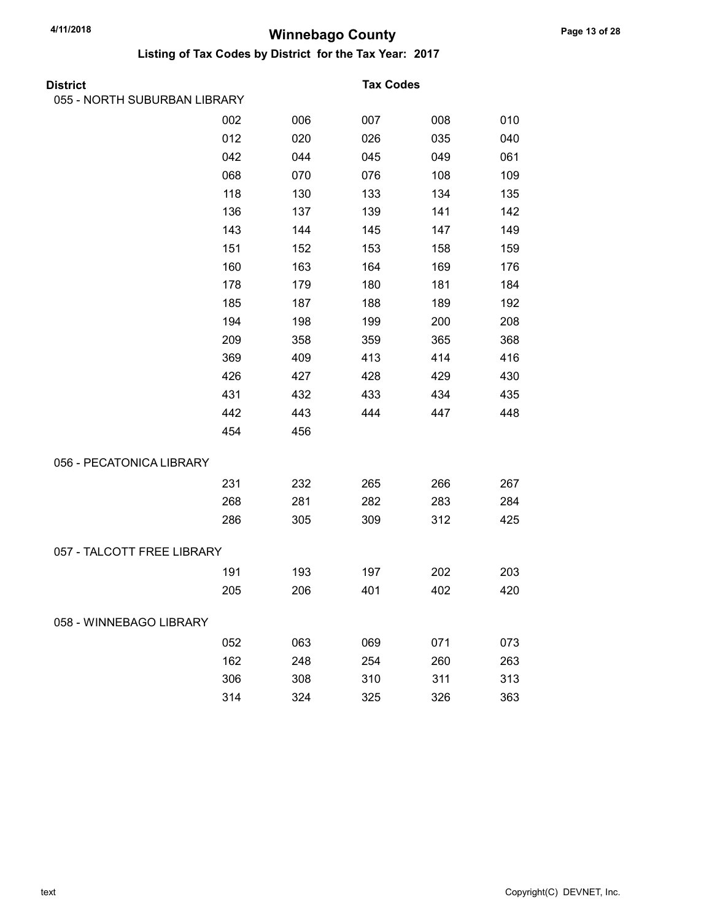| District                     |     |     | <b>Tax Codes</b> |     |     |
|------------------------------|-----|-----|------------------|-----|-----|
| 055 - NORTH SUBURBAN LIBRARY |     |     |                  |     |     |
|                              | 002 | 006 | 007              | 008 | 010 |
|                              | 012 | 020 | 026              | 035 | 040 |
|                              | 042 | 044 | 045              | 049 | 061 |
|                              | 068 | 070 | 076              | 108 | 109 |
|                              | 118 | 130 | 133              | 134 | 135 |
|                              | 136 | 137 | 139              | 141 | 142 |
|                              | 143 | 144 | 145              | 147 | 149 |
|                              | 151 | 152 | 153              | 158 | 159 |
|                              | 160 | 163 | 164              | 169 | 176 |
|                              | 178 | 179 | 180              | 181 | 184 |
|                              | 185 | 187 | 188              | 189 | 192 |
|                              | 194 | 198 | 199              | 200 | 208 |
|                              | 209 | 358 | 359              | 365 | 368 |
|                              | 369 | 409 | 413              | 414 | 416 |
|                              | 426 | 427 | 428              | 429 | 430 |
|                              | 431 | 432 | 433              | 434 | 435 |
|                              | 442 | 443 | 444              | 447 | 448 |
|                              | 454 | 456 |                  |     |     |
| 056 - PECATONICA LIBRARY     |     |     |                  |     |     |
|                              | 231 | 232 | 265              | 266 | 267 |
|                              | 268 | 281 | 282              | 283 | 284 |
|                              | 286 | 305 | 309              | 312 | 425 |
| 057 - TALCOTT FREE LIBRARY   |     |     |                  |     |     |
|                              | 191 | 193 | 197              | 202 | 203 |
|                              | 205 | 206 | 401              | 402 | 420 |
| 058 - WINNEBAGO LIBRARY      |     |     |                  |     |     |
|                              | 052 | 063 | 069              | 071 | 073 |
|                              | 162 | 248 | 254              | 260 | 263 |
|                              | 306 | 308 | 310              | 311 | 313 |
|                              | 314 | 324 | 325              | 326 | 363 |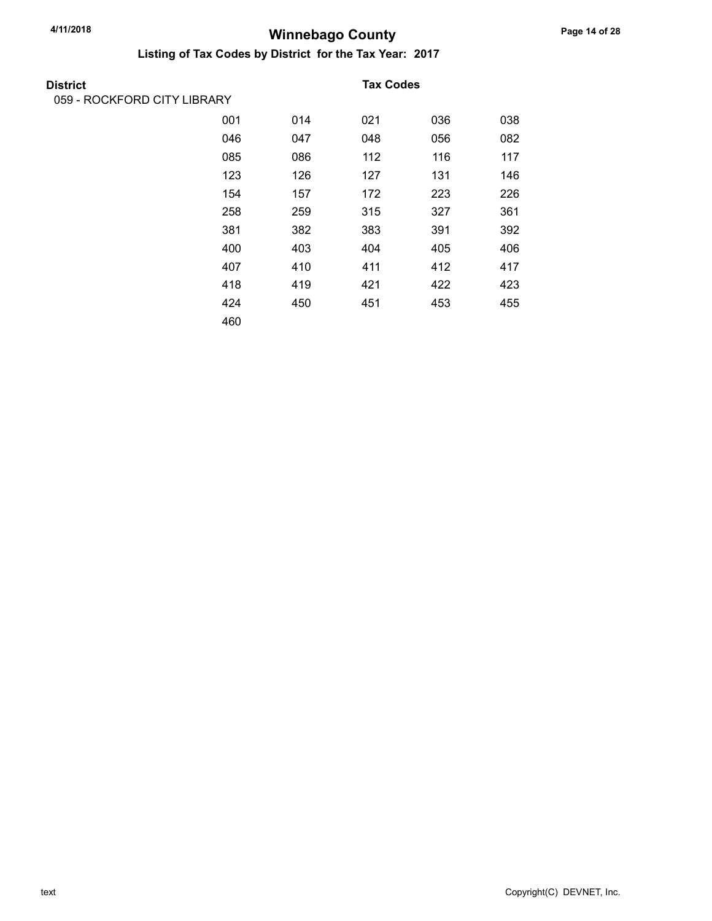| District                    |     |     | <b>Tax Codes</b> |     |     |
|-----------------------------|-----|-----|------------------|-----|-----|
| 059 - ROCKFORD CITY LIBRARY |     |     |                  |     |     |
|                             | 001 | 014 | 021              | 036 | 038 |
|                             | 046 | 047 | 048              | 056 | 082 |
|                             | 085 | 086 | 112              | 116 | 117 |
|                             | 123 | 126 | 127              | 131 | 146 |
|                             | 154 | 157 | 172              | 223 | 226 |
|                             | 258 | 259 | 315              | 327 | 361 |
|                             | 381 | 382 | 383              | 391 | 392 |
|                             | 400 | 403 | 404              | 405 | 406 |
|                             | 407 | 410 | 411              | 412 | 417 |
|                             | 418 | 419 | 421              | 422 | 423 |
|                             | 424 | 450 | 451              | 453 | 455 |
|                             | 460 |     |                  |     |     |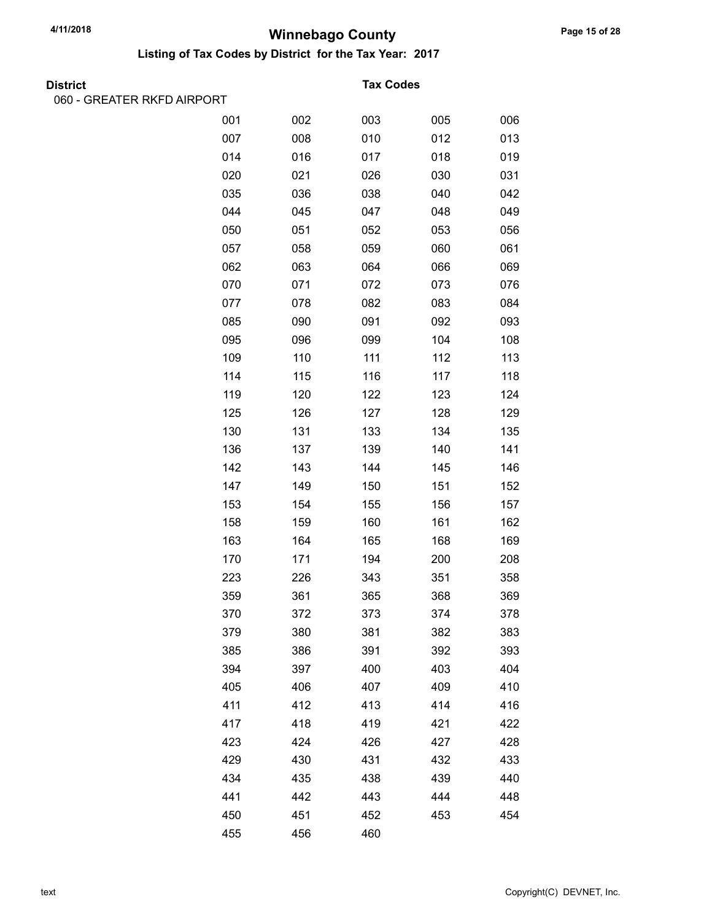Listing of Tax Codes by District for the Tax Year: 2017

| <b>District</b> |  |
|-----------------|--|
|                 |  |

060 - GREATER RKFD AIRPORT

#### **Tax Codes**

| 001 | 002 | 003 | 005 | 006 |
|-----|-----|-----|-----|-----|
| 007 | 008 | 010 | 012 | 013 |
| 014 | 016 | 017 | 018 | 019 |
| 020 | 021 | 026 | 030 | 031 |
| 035 | 036 | 038 | 040 | 042 |
| 044 | 045 | 047 | 048 | 049 |
| 050 | 051 | 052 | 053 | 056 |
| 057 | 058 | 059 | 060 | 061 |
| 062 | 063 | 064 | 066 | 069 |
| 070 | 071 | 072 | 073 | 076 |
| 077 | 078 | 082 | 083 | 084 |
| 085 | 090 | 091 | 092 | 093 |
| 095 | 096 | 099 | 104 | 108 |
| 109 | 110 | 111 | 112 | 113 |
| 114 | 115 | 116 | 117 | 118 |
| 119 | 120 | 122 | 123 | 124 |
| 125 | 126 | 127 | 128 | 129 |
| 130 | 131 | 133 | 134 | 135 |
| 136 | 137 | 139 | 140 | 141 |
| 142 | 143 | 144 | 145 | 146 |
| 147 | 149 | 150 | 151 | 152 |
| 153 | 154 | 155 | 156 | 157 |
| 158 | 159 | 160 | 161 | 162 |
| 163 | 164 | 165 | 168 | 169 |
| 170 | 171 | 194 | 200 | 208 |
| 223 | 226 | 343 | 351 | 358 |
| 359 | 361 | 365 | 368 | 369 |
| 370 | 372 | 373 | 374 | 378 |
| 379 | 380 | 381 | 382 | 383 |
| 385 | 386 | 391 | 392 | 393 |
| 394 | 397 | 400 | 403 | 404 |
| 405 | 406 | 407 | 409 | 410 |
| 411 | 412 | 413 | 414 | 416 |
| 417 | 418 | 419 | 421 | 422 |
| 423 | 424 | 426 | 427 | 428 |
| 429 | 430 | 431 | 432 | 433 |
| 434 | 435 | 438 | 439 | 440 |
| 441 | 442 | 443 | 444 | 448 |
| 450 | 451 | 452 | 453 | 454 |
| 455 | 456 | 460 |     |     |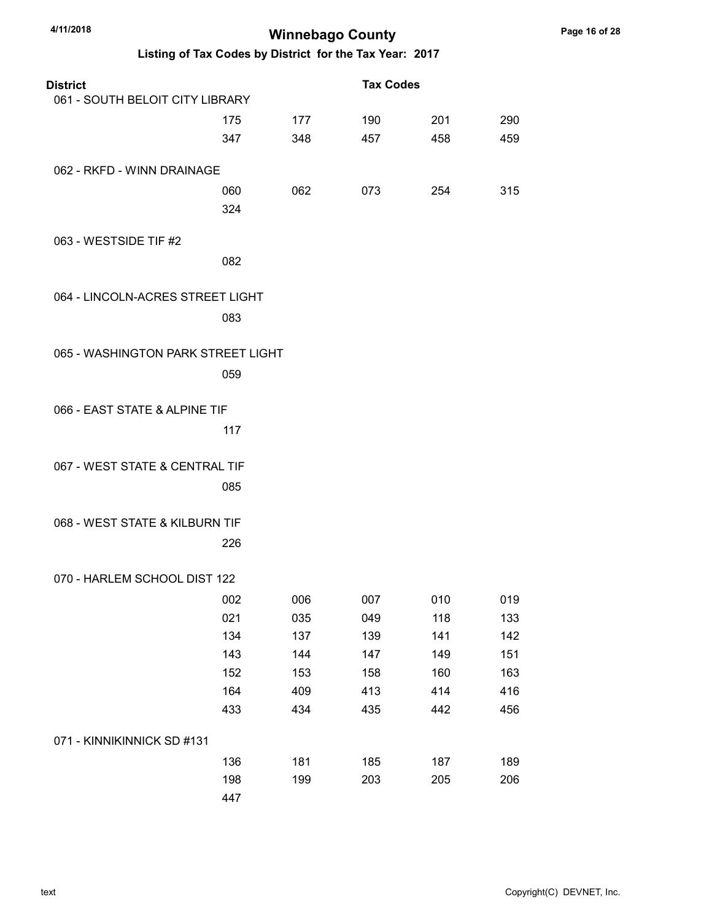| 4/11/2018<br><b>Winnebago County</b> |     |                                                         |                  |     |     |  |  |  |
|--------------------------------------|-----|---------------------------------------------------------|------------------|-----|-----|--|--|--|
|                                      |     | Listing of Tax Codes by District for the Tax Year: 2017 |                  |     |     |  |  |  |
| <b>District</b>                      |     |                                                         | <b>Tax Codes</b> |     |     |  |  |  |
| 061 - SOUTH BELOIT CITY LIBRARY      |     |                                                         |                  |     |     |  |  |  |
|                                      | 175 | 177                                                     | 190              | 201 | 290 |  |  |  |
|                                      | 347 | 348                                                     | 457              | 458 | 459 |  |  |  |
| 062 - RKFD - WINN DRAINAGE           |     |                                                         |                  |     |     |  |  |  |
|                                      | 060 | 062                                                     | 073              | 254 | 315 |  |  |  |
|                                      | 324 |                                                         |                  |     |     |  |  |  |
| 063 - WESTSIDE TIF #2                |     |                                                         |                  |     |     |  |  |  |
|                                      | 082 |                                                         |                  |     |     |  |  |  |
| 064 - LINCOLN-ACRES STREET LIGHT     |     |                                                         |                  |     |     |  |  |  |
|                                      | 083 |                                                         |                  |     |     |  |  |  |
|                                      |     |                                                         |                  |     |     |  |  |  |
| 065 - WASHINGTON PARK STREET LIGHT   |     |                                                         |                  |     |     |  |  |  |
|                                      | 059 |                                                         |                  |     |     |  |  |  |
|                                      |     |                                                         |                  |     |     |  |  |  |
| 066 - EAST STATE & ALPINE TIF        |     |                                                         |                  |     |     |  |  |  |
|                                      | 117 |                                                         |                  |     |     |  |  |  |
| 067 - WEST STATE & CENTRAL TIF       |     |                                                         |                  |     |     |  |  |  |
|                                      | 085 |                                                         |                  |     |     |  |  |  |
|                                      |     |                                                         |                  |     |     |  |  |  |
| 068 - WEST STATE & KILBURN TIF       |     |                                                         |                  |     |     |  |  |  |
|                                      | 226 |                                                         |                  |     |     |  |  |  |
| 070 - HARLEM SCHOOL DIST 122         |     |                                                         |                  |     |     |  |  |  |
|                                      | 002 | 006                                                     | 007              | 010 | 019 |  |  |  |
|                                      | 021 | 035                                                     | 049              | 118 | 133 |  |  |  |
|                                      | 134 | 137                                                     | 139              | 141 | 142 |  |  |  |
|                                      | 143 | 144                                                     | 147              | 149 | 151 |  |  |  |
|                                      | 152 | 153                                                     | 158              | 160 | 163 |  |  |  |
|                                      | 164 | 409                                                     | 413              | 414 | 416 |  |  |  |
|                                      | 433 | 434                                                     | 435              | 442 | 456 |  |  |  |
| 071 - KINNIKINNICK SD #131           |     |                                                         |                  |     |     |  |  |  |
|                                      | 136 | 181                                                     | 185              | 187 | 189 |  |  |  |
|                                      | 198 | 199                                                     | 203              | 205 | 206 |  |  |  |
|                                      | 447 |                                                         |                  |     |     |  |  |  |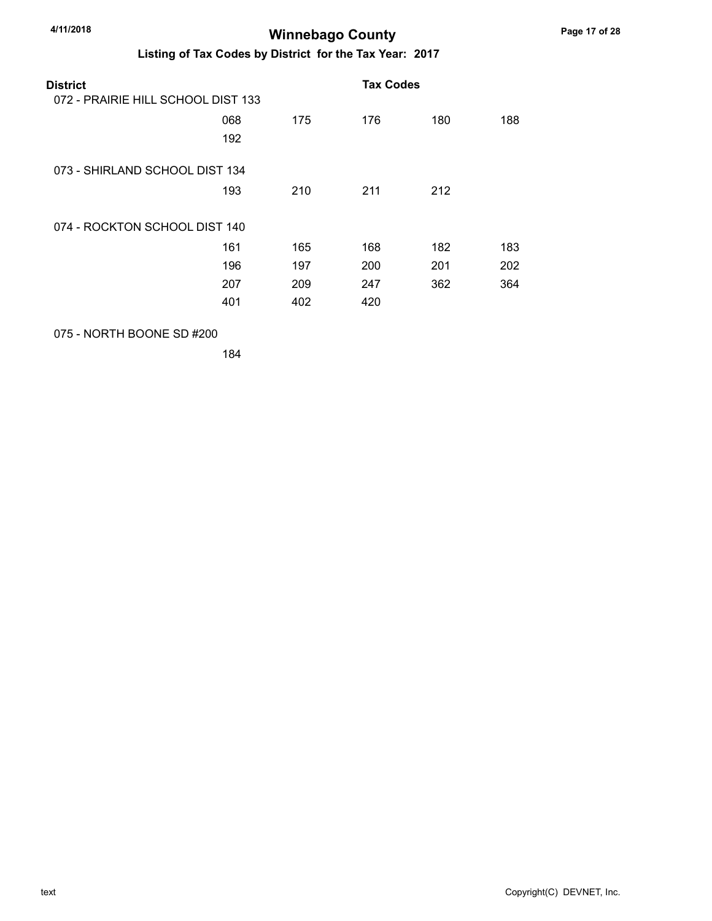#### Listing of Tax Codes by District for the Tax Year: 2017

| <b>District</b>                    |     |     | <b>Tax Codes</b> |     |     |
|------------------------------------|-----|-----|------------------|-----|-----|
| 072 - PRAIRIE HILL SCHOOL DIST 133 |     |     |                  |     |     |
|                                    | 068 | 175 | 176              | 180 | 188 |
|                                    | 192 |     |                  |     |     |
| 073 - SHIRLAND SCHOOL DIST 134     |     |     |                  |     |     |
|                                    | 193 | 210 | 211              | 212 |     |
| 074 - ROCKTON SCHOOL DIST 140      |     |     |                  |     |     |
|                                    | 161 | 165 | 168              | 182 | 183 |
|                                    | 196 | 197 | 200              | 201 | 202 |
|                                    | 207 | 209 | 247              | 362 | 364 |
|                                    | 401 | 402 | 420              |     |     |

#### 075 - NORTH BOONE SD #200

184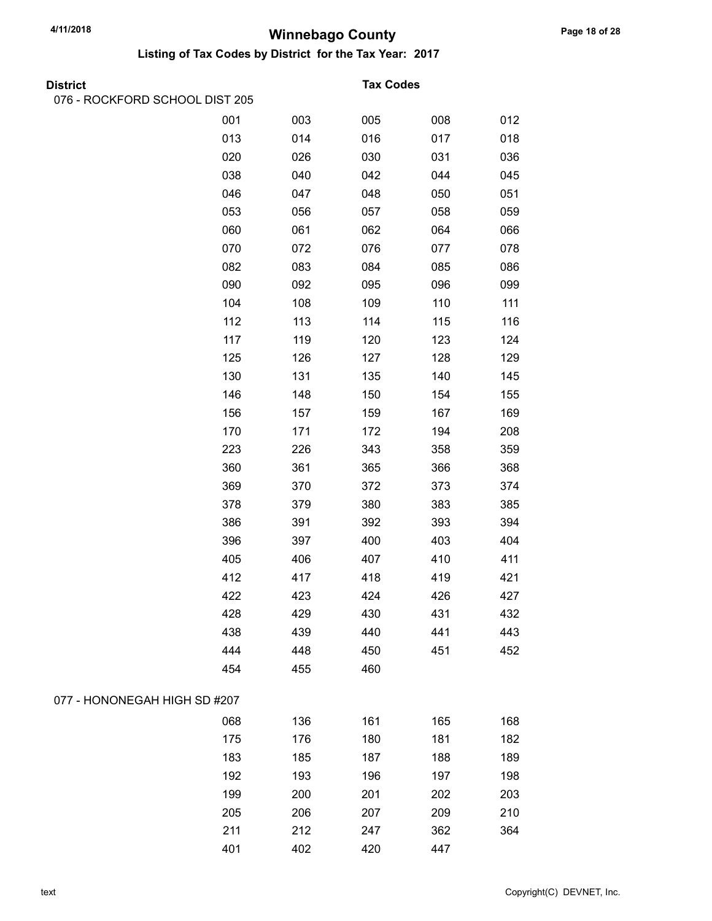Listing of Tax Codes by District for the Tax Year: 2017

| <b>District</b> |  |
|-----------------|--|

076 - ROCKFORD SCHOOL DIST 205

#### **Tax Codes**

|                              | 001 | 003 | 005 | 008 | 012 |
|------------------------------|-----|-----|-----|-----|-----|
|                              | 013 | 014 | 016 | 017 | 018 |
|                              | 020 | 026 | 030 | 031 | 036 |
|                              | 038 | 040 | 042 | 044 | 045 |
|                              | 046 | 047 | 048 | 050 | 051 |
|                              | 053 | 056 | 057 | 058 | 059 |
|                              | 060 | 061 | 062 | 064 | 066 |
|                              | 070 | 072 | 076 | 077 | 078 |
|                              | 082 | 083 | 084 | 085 | 086 |
|                              | 090 | 092 | 095 | 096 | 099 |
|                              | 104 | 108 | 109 | 110 | 111 |
|                              | 112 | 113 | 114 | 115 | 116 |
|                              | 117 | 119 | 120 | 123 | 124 |
|                              | 125 | 126 | 127 | 128 | 129 |
|                              | 130 | 131 | 135 | 140 | 145 |
|                              | 146 | 148 | 150 | 154 | 155 |
|                              | 156 | 157 | 159 | 167 | 169 |
|                              | 170 | 171 | 172 | 194 | 208 |
|                              | 223 | 226 | 343 | 358 | 359 |
|                              | 360 | 361 | 365 | 366 | 368 |
|                              | 369 | 370 | 372 | 373 | 374 |
|                              | 378 | 379 | 380 | 383 | 385 |
|                              | 386 | 391 | 392 | 393 | 394 |
|                              | 396 | 397 | 400 | 403 | 404 |
|                              | 405 | 406 | 407 | 410 | 411 |
|                              | 412 | 417 | 418 | 419 | 421 |
|                              | 422 | 423 | 424 | 426 | 427 |
|                              | 428 | 429 | 430 | 431 | 432 |
|                              | 438 | 439 | 440 | 441 | 443 |
|                              | 444 | 448 | 450 | 451 | 452 |
|                              | 454 | 455 | 460 |     |     |
| 077 - HONONEGAH HIGH SD #207 |     |     |     |     |     |
|                              | 068 | 136 | 161 | 165 | 168 |
|                              | 175 | 176 | 180 | 181 | 182 |
|                              | 183 | 185 | 187 | 188 | 189 |
|                              | 192 | 193 | 196 | 197 | 198 |
|                              | 199 | 200 | 201 | 202 | 203 |
|                              | 205 | 206 | 207 | 209 | 210 |
|                              | 211 | 212 | 247 | 362 | 364 |
|                              | 401 | 402 | 420 | 447 |     |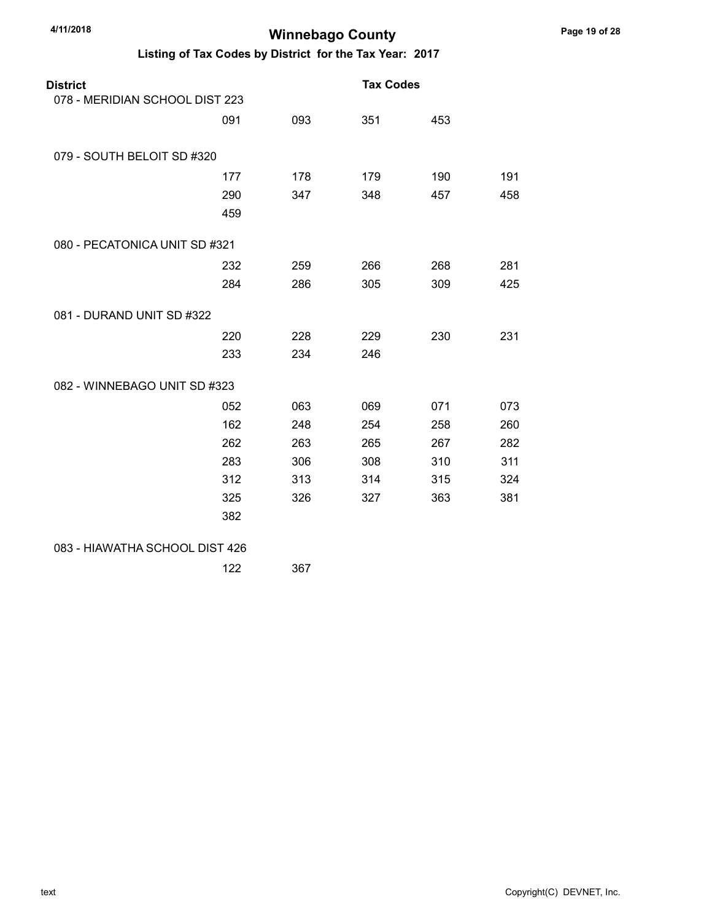| <b>District</b><br>078 - MERIDIAN SCHOOL DIST 223 |     |     | <b>Tax Codes</b> |     |     |
|---------------------------------------------------|-----|-----|------------------|-----|-----|
|                                                   |     |     |                  |     |     |
|                                                   | 091 | 093 | 351              | 453 |     |
| 079 - SOUTH BELOIT SD #320                        |     |     |                  |     |     |
|                                                   | 177 | 178 | 179              | 190 | 191 |
|                                                   | 290 | 347 | 348              | 457 | 458 |
|                                                   | 459 |     |                  |     |     |
| 080 - PECATONICA UNIT SD #321                     |     |     |                  |     |     |
|                                                   | 232 | 259 | 266              | 268 | 281 |
|                                                   | 284 | 286 | 305              | 309 | 425 |
| 081 - DURAND UNIT SD #322                         |     |     |                  |     |     |
|                                                   | 220 | 228 | 229              | 230 | 231 |
|                                                   | 233 | 234 | 246              |     |     |
| 082 - WINNEBAGO UNIT SD #323                      |     |     |                  |     |     |
|                                                   | 052 | 063 | 069              | 071 | 073 |
|                                                   | 162 | 248 | 254              | 258 | 260 |
|                                                   | 262 | 263 | 265              | 267 | 282 |
|                                                   | 283 | 306 | 308              | 310 | 311 |
|                                                   | 312 | 313 | 314              | 315 | 324 |
|                                                   | 325 | 326 | 327              | 363 | 381 |
|                                                   | 382 |     |                  |     |     |
| 083 - HIAWATHA SCHOOL DIST 426                    |     |     |                  |     |     |
|                                                   | 122 | 367 |                  |     |     |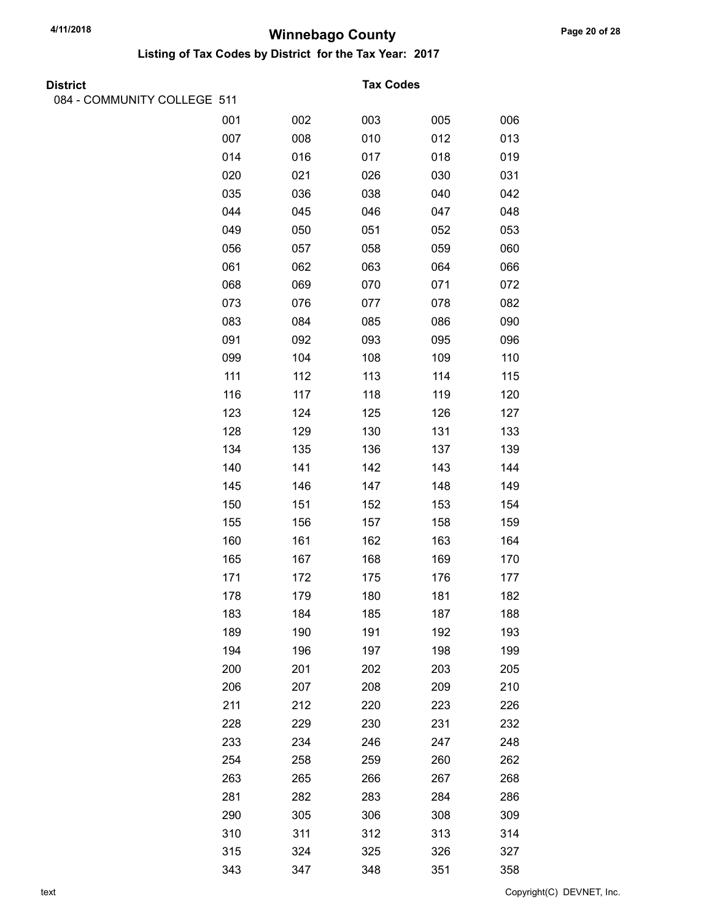| <b>District</b>             |     |     | <b>Tax Codes</b> |     |     |
|-----------------------------|-----|-----|------------------|-----|-----|
| 084 - COMMUNITY COLLEGE 511 |     |     |                  |     |     |
|                             | 001 | 002 | 003              | 005 | 006 |
|                             | 007 | 008 | 010              | 012 | 013 |
|                             | 014 | 016 | 017              | 018 | 019 |
|                             | 020 | 021 | 026              | 030 | 031 |
|                             | 035 | 036 | 038              | 040 | 042 |
|                             | 044 | 045 | 046              | 047 | 048 |
|                             | 049 | 050 | 051              | 052 | 053 |
|                             | 056 | 057 | 058              | 059 | 060 |
|                             | 061 | 062 | 063              | 064 | 066 |
|                             | 068 | 069 | 070              | 071 | 072 |
|                             | 073 | 076 | 077              | 078 | 082 |
|                             | 083 | 084 | 085              | 086 | 090 |
|                             | 091 | 092 | 093              | 095 | 096 |
|                             | 099 | 104 | 108              | 109 | 110 |
|                             | 111 | 112 | 113              | 114 | 115 |
|                             | 116 | 117 | 118              | 119 | 120 |
|                             | 123 | 124 | 125              | 126 | 127 |
|                             | 128 | 129 | 130              | 131 | 133 |
|                             | 134 | 135 | 136              | 137 | 139 |
|                             | 140 | 141 | 142              | 143 | 144 |
|                             | 145 | 146 | 147              | 148 | 149 |
|                             | 150 | 151 | 152              | 153 | 154 |
|                             | 155 | 156 | 157              | 158 | 159 |
|                             | 160 | 161 | 162              | 163 | 164 |
|                             | 165 | 167 | 168              | 169 | 170 |
|                             | 171 | 172 | 175              | 176 | 177 |
|                             | 178 | 179 | 180              | 181 | 182 |
|                             | 183 | 184 | 185              | 187 | 188 |
|                             | 189 | 190 | 191              | 192 | 193 |
|                             | 194 | 196 | 197              | 198 | 199 |
|                             | 200 | 201 | 202              | 203 | 205 |
|                             | 206 | 207 | 208              | 209 | 210 |
|                             | 211 | 212 | 220              | 223 | 226 |
|                             | 228 | 229 | 230              | 231 | 232 |
|                             | 233 | 234 | 246              | 247 | 248 |
|                             | 254 | 258 | 259              | 260 | 262 |
|                             | 263 | 265 | 266              | 267 | 268 |
|                             | 281 | 282 | 283              | 284 | 286 |
|                             | 290 | 305 | 306              | 308 | 309 |
|                             | 310 | 311 | 312              | 313 | 314 |
|                             | 315 | 324 | 325              | 326 | 327 |
|                             | 343 | 347 | 348              | 351 | 358 |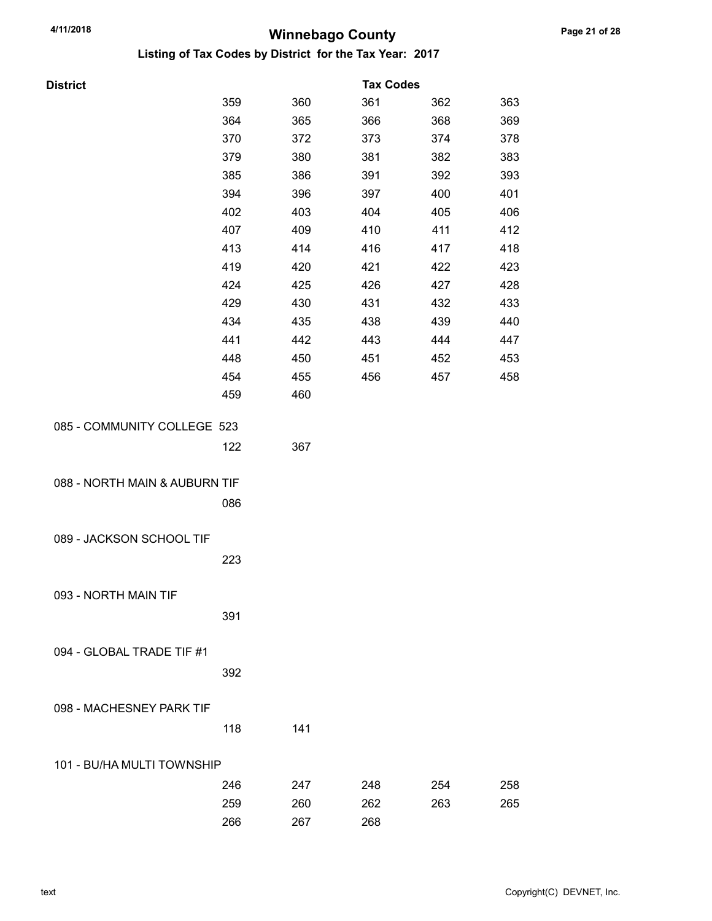| <b>District</b>               |     |     | <b>Tax Codes</b> |     |     |
|-------------------------------|-----|-----|------------------|-----|-----|
|                               | 359 | 360 | 361              | 362 | 363 |
|                               | 364 | 365 | 366              | 368 | 369 |
|                               | 370 | 372 | 373              | 374 | 378 |
|                               | 379 | 380 | 381              | 382 | 383 |
|                               | 385 | 386 | 391              | 392 | 393 |
|                               | 394 | 396 | 397              | 400 | 401 |
|                               | 402 | 403 | 404              | 405 | 406 |
|                               | 407 | 409 | 410              | 411 | 412 |
|                               | 413 | 414 | 416              | 417 | 418 |
|                               | 419 | 420 | 421              | 422 | 423 |
|                               | 424 | 425 | 426              | 427 | 428 |
|                               | 429 | 430 | 431              | 432 | 433 |
|                               | 434 | 435 | 438              | 439 | 440 |
|                               | 441 | 442 | 443              | 444 | 447 |
|                               | 448 | 450 | 451              | 452 | 453 |
|                               | 454 | 455 | 456              | 457 | 458 |
|                               | 459 | 460 |                  |     |     |
| 085 - COMMUNITY COLLEGE 523   |     |     |                  |     |     |
|                               | 122 | 367 |                  |     |     |
|                               |     |     |                  |     |     |
| 088 - NORTH MAIN & AUBURN TIF |     |     |                  |     |     |
|                               | 086 |     |                  |     |     |
|                               |     |     |                  |     |     |
| 089 - JACKSON SCHOOL TIF      |     |     |                  |     |     |
|                               | 223 |     |                  |     |     |
|                               |     |     |                  |     |     |
| 093 - NORTH MAIN TIF          |     |     |                  |     |     |
|                               | 391 |     |                  |     |     |
|                               |     |     |                  |     |     |
| 094 - GLOBAL TRADE TIF #1     |     |     |                  |     |     |
|                               | 392 |     |                  |     |     |
|                               |     |     |                  |     |     |
| 098 - MACHESNEY PARK TIF      |     |     |                  |     |     |
|                               | 118 | 141 |                  |     |     |
| 101 - BU/HA MULTI TOWNSHIP    |     |     |                  |     |     |
|                               | 246 | 247 | 248              | 254 | 258 |
|                               | 259 | 260 | 262              | 263 | 265 |
|                               | 266 | 267 | 268              |     |     |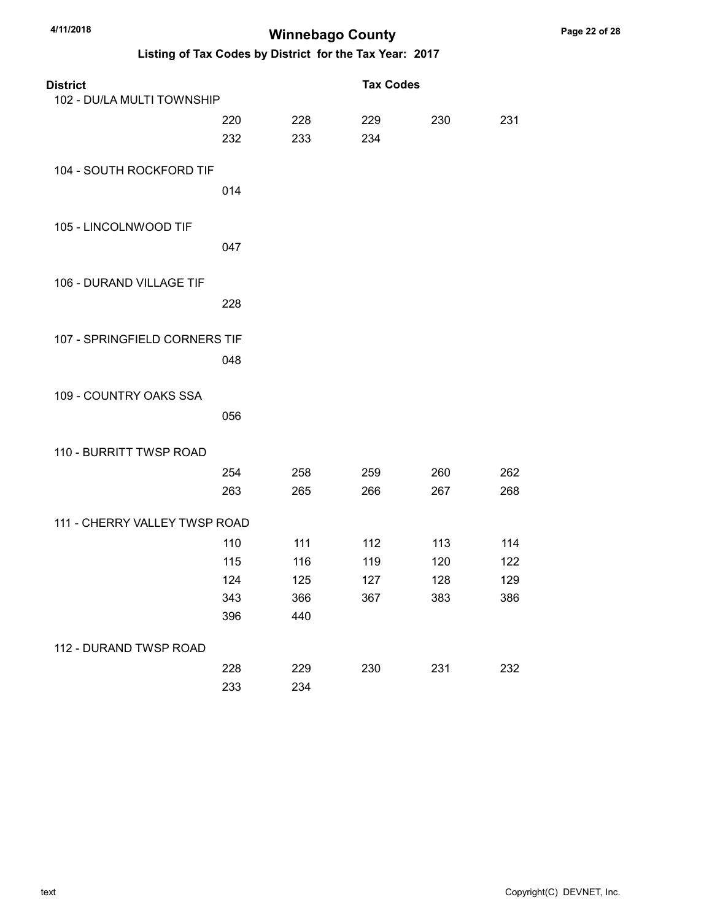| <b>District</b>               |     |     | <b>Tax Codes</b> |     |     |
|-------------------------------|-----|-----|------------------|-----|-----|
| 102 - DU/LA MULTI TOWNSHIP    |     |     |                  |     |     |
|                               | 220 | 228 | 229              | 230 | 231 |
|                               | 232 | 233 | 234              |     |     |
| 104 - SOUTH ROCKFORD TIF      |     |     |                  |     |     |
|                               | 014 |     |                  |     |     |
| 105 - LINCOLNWOOD TIF         |     |     |                  |     |     |
|                               | 047 |     |                  |     |     |
| 106 - DURAND VILLAGE TIF      |     |     |                  |     |     |
|                               | 228 |     |                  |     |     |
| 107 - SPRINGFIELD CORNERS TIF |     |     |                  |     |     |
|                               | 048 |     |                  |     |     |
| 109 - COUNTRY OAKS SSA        |     |     |                  |     |     |
|                               | 056 |     |                  |     |     |
| 110 - BURRITT TWSP ROAD       |     |     |                  |     |     |
|                               | 254 | 258 | 259              | 260 | 262 |
|                               | 263 | 265 | 266              | 267 | 268 |
| 111 - CHERRY VALLEY TWSP ROAD |     |     |                  |     |     |
|                               | 110 | 111 | 112              | 113 | 114 |
|                               | 115 | 116 | 119              | 120 | 122 |
|                               | 124 | 125 | 127              | 128 | 129 |
|                               | 343 | 366 | 367              | 383 | 386 |
|                               | 396 | 440 |                  |     |     |
| 112 - DURAND TWSP ROAD        |     |     |                  |     |     |
|                               | 228 | 229 | 230              | 231 | 232 |
|                               | 233 | 234 |                  |     |     |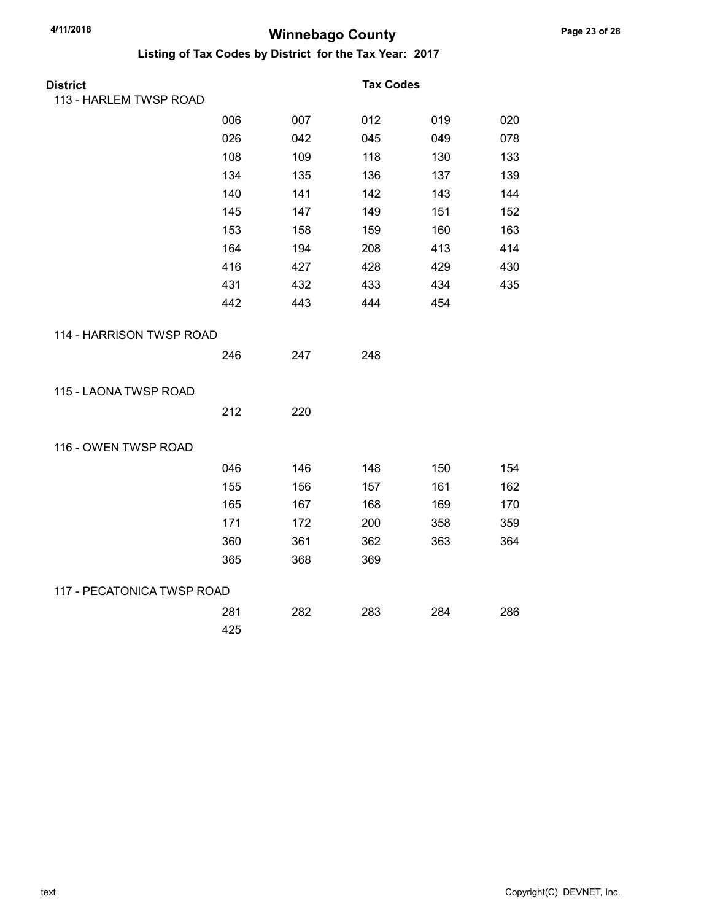| <b>District</b>            |     |     | <b>Tax Codes</b> |     |     |
|----------------------------|-----|-----|------------------|-----|-----|
| 113 - HARLEM TWSP ROAD     |     |     |                  |     |     |
|                            | 006 | 007 | 012              | 019 | 020 |
|                            | 026 | 042 | 045              | 049 | 078 |
|                            | 108 | 109 | 118              | 130 | 133 |
|                            | 134 | 135 | 136              | 137 | 139 |
|                            | 140 | 141 | 142              | 143 | 144 |
|                            | 145 | 147 | 149              | 151 | 152 |
|                            | 153 | 158 | 159              | 160 | 163 |
|                            | 164 | 194 | 208              | 413 | 414 |
|                            | 416 | 427 | 428              | 429 | 430 |
|                            | 431 | 432 | 433              | 434 | 435 |
|                            | 442 | 443 | 444              | 454 |     |
| 114 - HARRISON TWSP ROAD   |     |     |                  |     |     |
|                            | 246 | 247 | 248              |     |     |
| 115 - LAONA TWSP ROAD      |     |     |                  |     |     |
|                            | 212 | 220 |                  |     |     |
| 116 - OWEN TWSP ROAD       |     |     |                  |     |     |
|                            | 046 | 146 | 148              | 150 | 154 |
|                            | 155 | 156 | 157              | 161 | 162 |
|                            | 165 | 167 | 168              | 169 | 170 |
|                            | 171 | 172 | 200              | 358 | 359 |
|                            | 360 | 361 | 362              | 363 | 364 |
|                            | 365 | 368 | 369              |     |     |
| 117 - PECATONICA TWSP ROAD |     |     |                  |     |     |
|                            | 281 | 282 | 283              | 284 | 286 |
|                            | 425 |     |                  |     |     |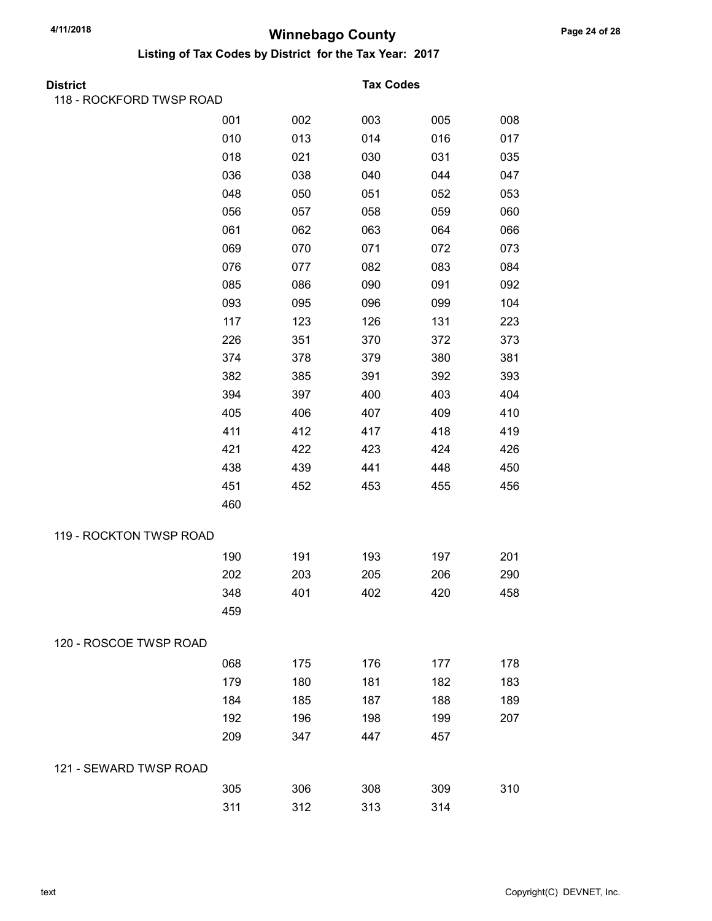| District                 |     |     | <b>Tax Codes</b> |     |     |
|--------------------------|-----|-----|------------------|-----|-----|
| 118 - ROCKFORD TWSP ROAD |     |     |                  |     |     |
|                          | 001 | 002 | 003              | 005 | 008 |
|                          | 010 | 013 | 014              | 016 | 017 |
|                          | 018 | 021 | 030              | 031 | 035 |
|                          | 036 | 038 | 040              | 044 | 047 |
|                          | 048 | 050 | 051              | 052 | 053 |
|                          | 056 | 057 | 058              | 059 | 060 |
|                          | 061 | 062 | 063              | 064 | 066 |
|                          | 069 | 070 | 071              | 072 | 073 |
|                          | 076 | 077 | 082              | 083 | 084 |
|                          | 085 | 086 | 090              | 091 | 092 |
|                          | 093 | 095 | 096              | 099 | 104 |
|                          | 117 | 123 | 126              | 131 | 223 |
|                          | 226 | 351 | 370              | 372 | 373 |
|                          | 374 | 378 | 379              | 380 | 381 |
|                          | 382 | 385 | 391              | 392 | 393 |
|                          | 394 | 397 | 400              | 403 | 404 |
|                          | 405 | 406 | 407              | 409 | 410 |
|                          | 411 | 412 | 417              | 418 | 419 |
|                          | 421 | 422 | 423              | 424 | 426 |
|                          | 438 | 439 | 441              | 448 | 450 |
|                          | 451 | 452 | 453              | 455 | 456 |
|                          | 460 |     |                  |     |     |
| 119 - ROCKTON TWSP ROAD  |     |     |                  |     |     |
|                          | 190 | 191 | 193              | 197 | 201 |
|                          | 202 | 203 | 205              | 206 | 290 |
|                          | 348 | 401 | 402              | 420 | 458 |
|                          | 459 |     |                  |     |     |
| 120 - ROSCOE TWSP ROAD   |     |     |                  |     |     |
|                          | 068 | 175 | 176              | 177 | 178 |
|                          | 179 | 180 | 181              | 182 | 183 |
|                          | 184 | 185 | 187              | 188 | 189 |
|                          | 192 | 196 | 198              | 199 | 207 |
|                          | 209 | 347 | 447              | 457 |     |
| 121 - SEWARD TWSP ROAD   |     |     |                  |     |     |
|                          | 305 | 306 | 308              | 309 | 310 |
|                          | 311 | 312 | 313              | 314 |     |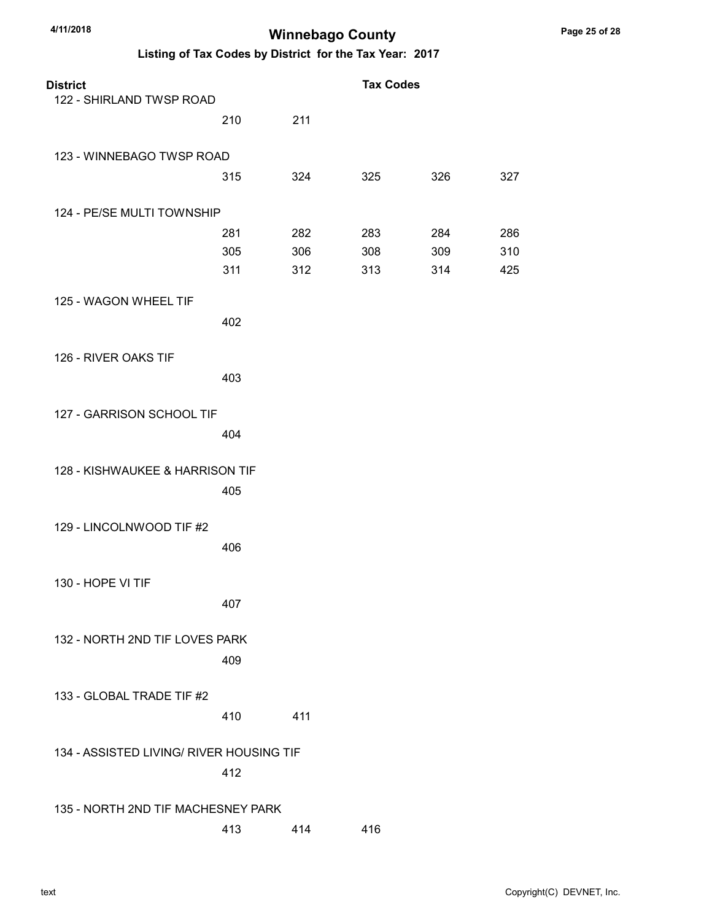| <b>District</b><br>122 - SHIRLAND TWSP ROAD |     |     | <b>Tax Codes</b> |     |     |
|---------------------------------------------|-----|-----|------------------|-----|-----|
|                                             | 210 | 211 |                  |     |     |
| 123 - WINNEBAGO TWSP ROAD                   |     |     |                  |     |     |
|                                             | 315 | 324 | 325              | 326 | 327 |
| 124 - PE/SE MULTI TOWNSHIP                  |     |     |                  |     |     |
|                                             | 281 | 282 | 283              | 284 | 286 |
|                                             | 305 | 306 | 308              | 309 | 310 |
|                                             | 311 | 312 | 313              | 314 | 425 |
| 125 - WAGON WHEEL TIF                       |     |     |                  |     |     |
|                                             | 402 |     |                  |     |     |
| 126 - RIVER OAKS TIF                        |     |     |                  |     |     |
|                                             | 403 |     |                  |     |     |
| 127 - GARRISON SCHOOL TIF                   |     |     |                  |     |     |
|                                             | 404 |     |                  |     |     |
| 128 - KISHWAUKEE & HARRISON TIF             |     |     |                  |     |     |
|                                             | 405 |     |                  |     |     |
| 129 - LINCOLNWOOD TIF #2                    |     |     |                  |     |     |
|                                             | 406 |     |                  |     |     |
| 130 - HOPE VI TIF                           |     |     |                  |     |     |
|                                             | 407 |     |                  |     |     |
| 132 - NORTH 2ND TIF LOVES PARK              |     |     |                  |     |     |
|                                             | 409 |     |                  |     |     |
| 133 - GLOBAL TRADE TIF #2                   |     |     |                  |     |     |
|                                             | 410 | 411 |                  |     |     |
| 134 - ASSISTED LIVING/ RIVER HOUSING TIF    |     |     |                  |     |     |
|                                             | 412 |     |                  |     |     |
| 135 - NORTH 2ND TIF MACHESNEY PARK          |     |     |                  |     |     |
|                                             | 413 | 414 | 416              |     |     |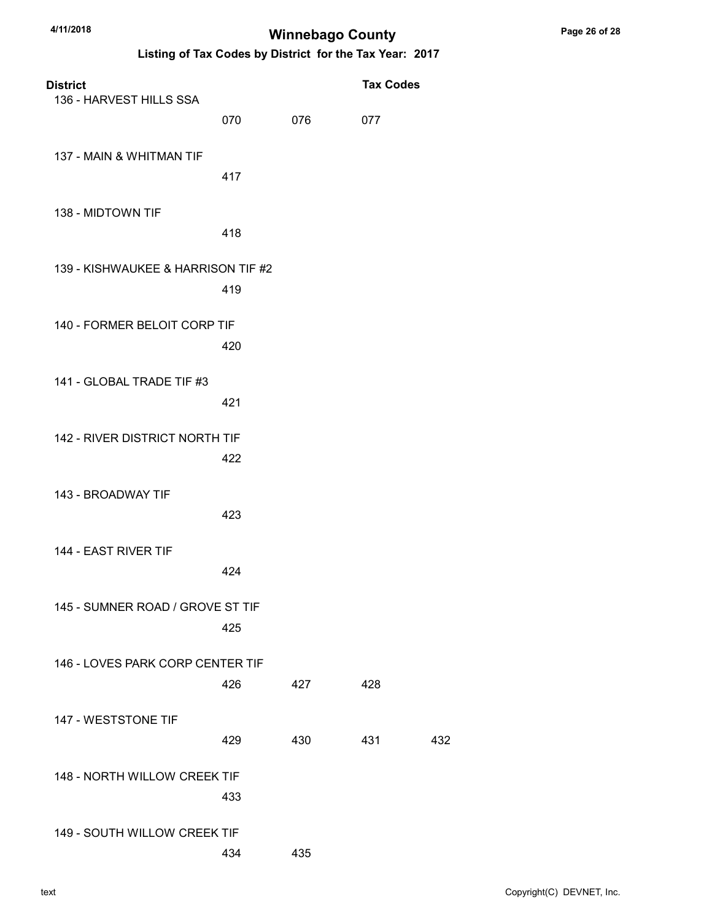| <b>District</b><br>136 - HARVEST HILLS SSA |     |     | <b>Tax Codes</b> |     |
|--------------------------------------------|-----|-----|------------------|-----|
|                                            | 070 | 076 | 077              |     |
| 137 - MAIN & WHITMAN TIF                   | 417 |     |                  |     |
| 138 - MIDTOWN TIF                          | 418 |     |                  |     |
| 139 - KISHWAUKEE & HARRISON TIF #2         | 419 |     |                  |     |
| 140 - FORMER BELOIT CORP TIF               | 420 |     |                  |     |
| 141 - GLOBAL TRADE TIF #3                  | 421 |     |                  |     |
| 142 - RIVER DISTRICT NORTH TIF             | 422 |     |                  |     |
| 143 - BROADWAY TIF                         | 423 |     |                  |     |
| 144 - EAST RIVER TIF                       | 424 |     |                  |     |
| 145 - SUMNER ROAD / GROVE ST TIF           | 425 |     |                  |     |
| 146 - LOVES PARK CORP CENTER TIF           | 426 | 427 | 428              |     |
| 147 - WESTSTONE TIF                        | 429 | 430 | 431              | 432 |
| 148 - NORTH WILLOW CREEK TIF               | 433 |     |                  |     |
| 149 - SOUTH WILLOW CREEK TIF               | 434 | 435 |                  |     |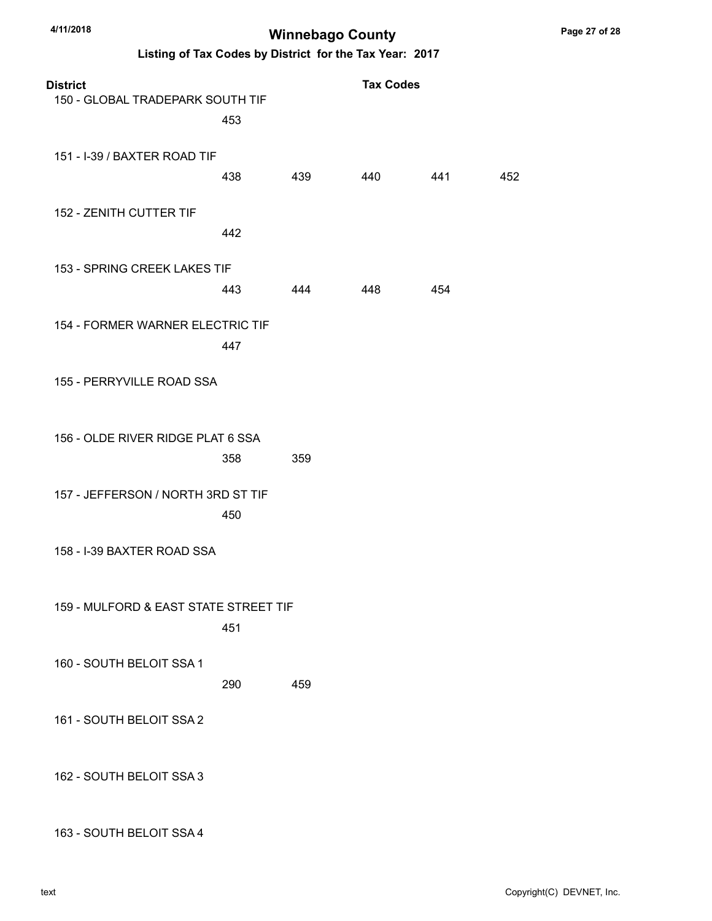Listing of Tax Codes by District for the Tax Year: 2017

| <b>District</b><br>150 - GLOBAL TRADEPARK SOUTH TIF | 453 |     | <b>Tax Codes</b> |     |     |
|-----------------------------------------------------|-----|-----|------------------|-----|-----|
| 151 - I-39 / BAXTER ROAD TIF                        | 438 | 439 | 440              | 441 | 452 |
| 152 - ZENITH CUTTER TIF                             | 442 |     |                  |     |     |
| 153 - SPRING CREEK LAKES TIF                        | 443 | 444 | 448              | 454 |     |
| 154 - FORMER WARNER ELECTRIC TIF                    | 447 |     |                  |     |     |
| 155 - PERRYVILLE ROAD SSA                           |     |     |                  |     |     |
| 156 - OLDE RIVER RIDGE PLAT 6 SSA                   | 358 | 359 |                  |     |     |
| 157 - JEFFERSON / NORTH 3RD ST TIF                  | 450 |     |                  |     |     |
| 158 - I-39 BAXTER ROAD SSA                          |     |     |                  |     |     |
| 159 - MULFORD & EAST STATE STREET TIF               | 451 |     |                  |     |     |
| 160 - SOUTH BELOIT SSA 1                            | 290 | 459 |                  |     |     |
| 161 - SOUTH BELOIT SSA 2                            |     |     |                  |     |     |
| 162 - SOUTH BELOIT SSA 3                            |     |     |                  |     |     |

163 - SOUTH BELOIT SSA 4